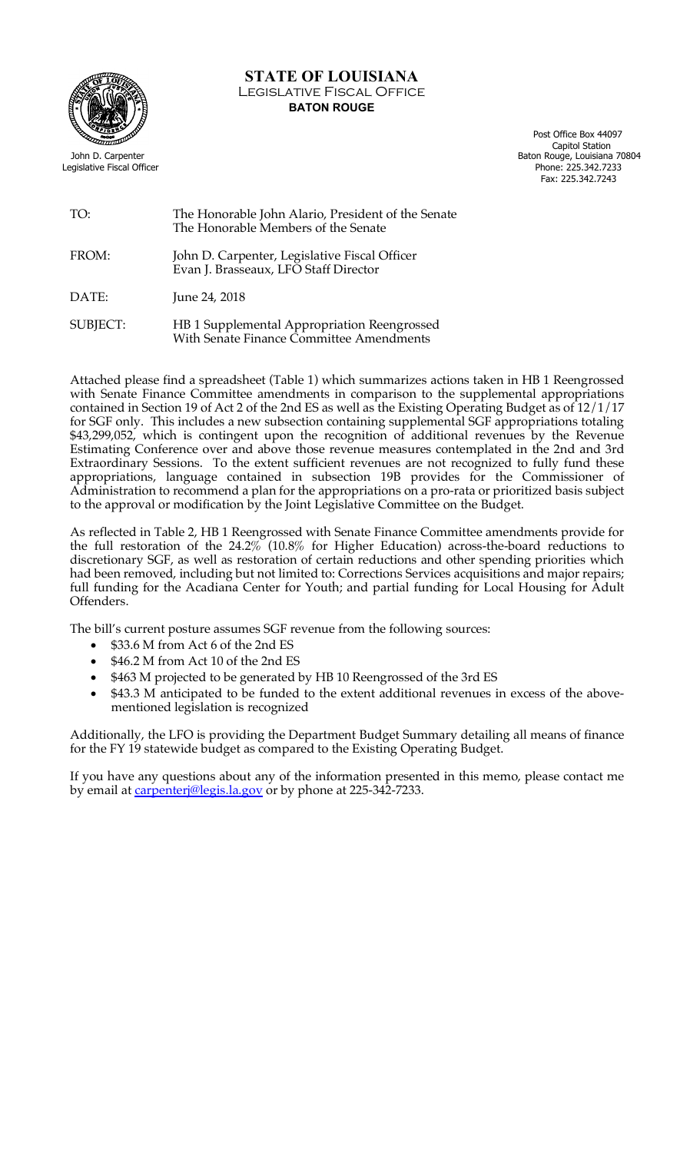

## **STATE OF LOUISIANA** Legislative Fiscal Office **BATON ROUGE**

 Post Office Box 44097 Capitol Station John D. Carpenter Baton Rouge, Louisiana 70804 Legislative Fiscal Officer Phone: 225.342.7233 Fax: 225.342.7243

## TO: The Honorable John Alario, President of the Senate The Honorable Members of the Senate

FROM: John D. Carpenter, Legislative Fiscal Officer Evan J. Brasseaux, LFO Staff Director

DATE: June 24, 2018

SUBJECT: HB 1 Supplemental Appropriation Reengrossed With Senate Finance Committee Amendments

Attached please find a spreadsheet (Table 1) which summarizes actions taken in HB 1 Reengrossed with Senate Finance Committee amendments in comparison to the supplemental appropriations contained in Section 19 of Act 2 of the 2nd ES as well as the Existing Operating Budget as of 12/1/17 for SGF only. This includes a new subsection containing supplemental SGF appropriations totaling \$43,299,052, which is contingent upon the recognition of additional revenues by the Revenue Estimating Conference over and above those revenue measures contemplated in the 2nd and 3rd Extraordinary Sessions. To the extent sufficient revenues are not recognized to fully fund these appropriations, language contained in subsection 19B provides for the Commissioner of Administration to recommend a plan for the appropriations on a pro-rata or prioritized basis subject to the approval or modification by the Joint Legislative Committee on the Budget.

As reflected in Table 2, HB 1 Reengrossed with Senate Finance Committee amendments provide for the full restoration of the 24.2% (10.8% for Higher Education) across-the-board reductions to discretionary SGF, as well as restoration of certain reductions and other spending priorities which had been removed, including but not limited to: Corrections Services acquisitions and major repairs; full funding for the Acadiana Center for Youth; and partial funding for Local Housing for Adult Offenders.

The bill's current posture assumes SGF revenue from the following sources:

- \$33.6 M from Act 6 of the 2nd ES
- \$46.2 M from Act 10 of the 2nd ES
- \$463 M projected to be generated by HB 10 Reengrossed of the 3rd ES
- \$43.3 M anticipated to be funded to the extent additional revenues in excess of the abovementioned legislation is recognized

Additionally, the LFO is providing the Department Budget Summary detailing all means of finance for the FY 19 statewide budget as compared to the Existing Operating Budget.

If you have any questions about any of the information presented in this memo, please contact me by email at carpenterj@legis.la.gov or by phone at 225-342-7233.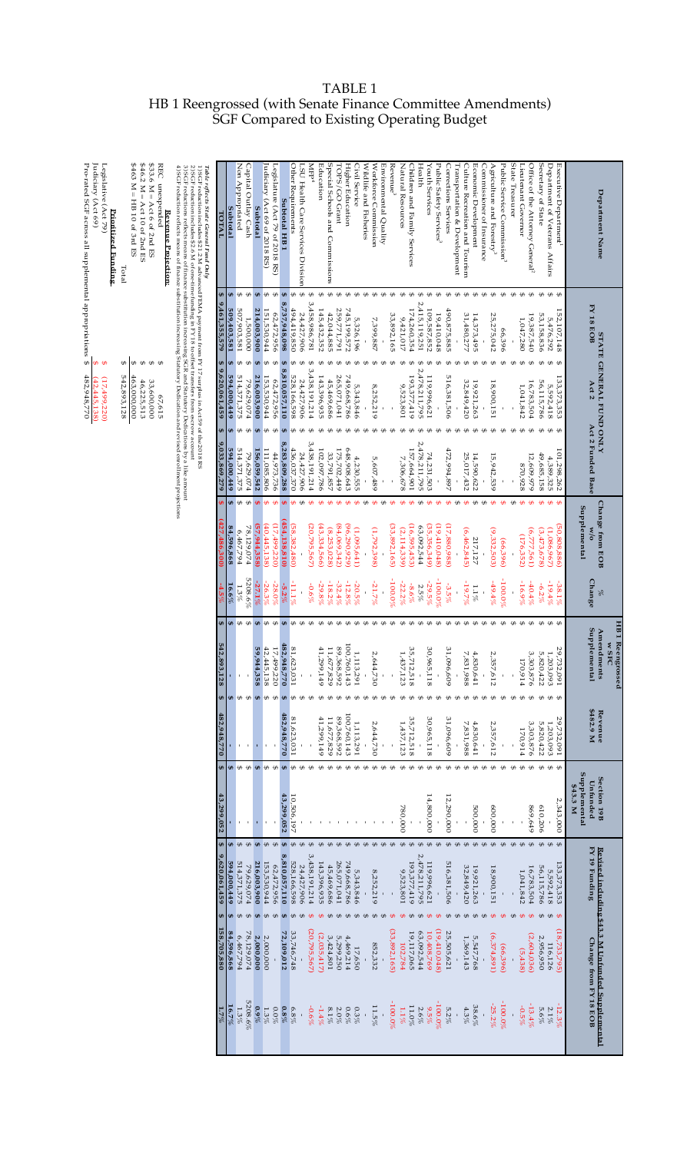| TABLE 1                                                     |  |
|-------------------------------------------------------------|--|
| HB 1 Reengrossed (with Senate Finance Committee Amendments) |  |
| SGF Compared to Existing Operating Budget                   |  |

|                       |                          |                                                                                         |                                                     |                           |                                                  |                                                        |                                                    |                                                     | <b>\$\$\$</b><br>$\oplus$<br>$\theta$<br>542,893,128<br>463,000,000<br>46,225,513<br>33,600,000<br>67,615 |                                                                    | $$463 M = HIB 10 of 3rd ES$<br>\$46.2 M = Act 10 of 2nd ES<br>\$33.6 M = Act 6 of 2nd ES<br>REC unexpended<br>Revenue Projection:<br>Total                                                                                                                                                                                                                                                                                                                                                                                    |
|-----------------------|--------------------------|-----------------------------------------------------------------------------------------|-----------------------------------------------------|---------------------------|--------------------------------------------------|--------------------------------------------------------|----------------------------------------------------|-----------------------------------------------------|-----------------------------------------------------------------------------------------------------------|--------------------------------------------------------------------|-------------------------------------------------------------------------------------------------------------------------------------------------------------------------------------------------------------------------------------------------------------------------------------------------------------------------------------------------------------------------------------------------------------------------------------------------------------------------------------------------------------------------------|
|                       |                          |                                                                                         |                                                     |                           |                                                  |                                                        |                                                    |                                                     |                                                                                                           |                                                                    | 3) SGF reductions reflects means of finance substitution increasing SGR and Statutory Dedications by a like amount<br>1) SGF reduction includes \$212 M advanced FEMA payment from FY 17 surplus in Act 59 of the 2018 RS 2) SGF reduction includes \$2.6 M of one-time funding in FY 18 to offset transfers from escove account 2) SGF reduction inc<br>4) SGF reduction reflects means of finance substitution increasing Statutory Dedication and revised enrollment projections<br>Table reflects State General Fund Only |
| $1.7\%$               | 158,705,880              | θĤ<br>9,620,061,459<br>€Ĥ                                                               | <b>EA</b><br>13,299,052                             | 482,948,770               | 542,893<br>128<br>€                              | €Ĥ                                                     |                                                    | ,033,869,279                                        | $\pmb{\oplus}$<br>9,620,061,459                                                                           | $\Theta$<br>461,355,579                                            | TOTAL                                                                                                                                                                                                                                                                                                                                                                                                                                                                                                                         |
| $16.7\%$              | 84,596,868               | ₩.<br>594,000,449<br>₩,                                                                 | ₩                                                   |                           | ₩                                                | $16.6\%$<br>¢                                          | 84,596,868                                         | 594,000,449<br>₩                                    | ¢<br>594,000,449                                                                                          | ₩,<br>509,403,581                                                  | Subtotal                                                                                                                                                                                                                                                                                                                                                                                                                                                                                                                      |
| 5208.6%<br>1.3%       | 78,129,074<br>6,467,794  | $\theta$<br>514,371,375<br>79,629,074<br>$\bigoplus$<br>$\bigoplus$                     | $\oplus$<br>$\leftrightarrow$                       |                           | ⊕ ⊕                                              | 5208.6%<br>1.3%<br>₩<br>$\oplus$                       | 78,129,074<br>6,467,794                            | 514,371,375<br>79,629,074<br>₩<br>$\leftrightarrow$ | ÷<br>⊕<br>514,371,375<br>79,629,074                                                                       | $\oplus$<br>$\oplus$<br>507,903,581<br>1,500,000                   | Capital Outlay Cash<br>Non Appropriated                                                                                                                                                                                                                                                                                                                                                                                                                                                                                       |
| $0.9\%$               | 2,000,000                | $\overline{\mathbf{G}}$<br>216,003,900<br>$\Theta$                                      | $\Theta$                                            | ı                         | 59,944,358<br>$\ddot{\bm{\theta}}$               | $-27.1\%$<br>$\Theta$                                  | (57,944,358)                                       | 156,059,542                                         | Đ<br>216,003,900                                                                                          | $\Theta$<br>214,003,900                                            | Subtotal                                                                                                                                                                                                                                                                                                                                                                                                                                                                                                                      |
| 1.3%                  | 2,000,000                | $\bigoplus$<br>153,530,944<br>$\bigoplus$                                               | I⊕                                                  |                           | 42,445<br>138<br>⊕                               | $-26.3\%$<br>l <del>CD</del>                           | (40,445,138)                                       | 111,085,806                                         | 153,530,944                                                                                               | l <del>CD</del><br>151,530,944                                     | udiciary (Act 69 of 2018 RS)                                                                                                                                                                                                                                                                                                                                                                                                                                                                                                  |
| $0.0\%$               |                          | $\oplus$<br>62,472,956<br>$\oplus$                                                      | $\oplus$                                            |                           | 17,499,220<br>$\oplus$                           | $-28.0\%$<br>$\oplus$                                  | (17,499,220)                                       | 44,973,736<br>£Ð                                    | ₩<br>62,472,956<br>$\Theta$                                                                               | $\oplus$<br>62,472,956                                             | Legislature (Act 79 of 2018 RS)                                                                                                                                                                                                                                                                                                                                                                                                                                                                                               |
| $0.8\%$<br>$6.8\%$    | 72,109,012<br>33,746,748 | $\bigoplus$<br>$\bigoplus$<br>8,810,057,110<br>528,166,598<br>$\bullet$<br>$\bigoplus$  | $\theta$<br>43,299,052<br>10,506,197                | 482,948,770<br>81,623,031 | 482,948,770<br>81,623,031<br>$\pmb{\oplus}$<br>₩ | $-5.2\%$<br>$\oplus$<br><b>LA</b>                      | (454, 138, 810)                                    | 8,283,809,288<br>436,037,370                        | ₩<br>8,810,057,110<br>528,166,598<br>$\Theta$                                                             | $\Theta$<br><b>G</b><br>8,737,948,098<br>494,419,850               | Other Requirements<br><b>Subtotal HB1</b>                                                                                                                                                                                                                                                                                                                                                                                                                                                                                     |
|                       |                          | $\oplus$<br>24,427,906<br>$\oplus$                                                      | $\oplus$                                            |                           | ₩                                                | $-11.1\%$<br>$\theta$                                  | 58,382,480                                         | 24,427,906                                          | 24,427,906                                                                                                | $\oplus$<br>24,427,906                                             | LSU Health Care Services Division                                                                                                                                                                                                                                                                                                                                                                                                                                                                                             |
| -0.6%                 | (20,795,567)             | $\oplus$<br>3,438,191,214<br>$\Theta$                                                   | $\oplus$                                            |                           | $\mathbf{I}$<br>$\oplus$                         | -0.6%<br>£Ð                                            | (20,795,567                                        | 3,438,191,214                                       | 3,438,191,214<br>$\leftrightarrow$                                                                        | $\leftrightarrow$<br>3,458,986,781                                 | $M_{\rm H}$                                                                                                                                                                                                                                                                                                                                                                                                                                                                                                                   |
| $-1.4\%$              | (2,035,417)              | 143,396,935<br>$\theta$                                                                 | $\oplus$                                            | 41,299,149                | 41,299,149<br>$\theta$                           | $-29.8\%$<br>£Đ                                        | (43,334,566)                                       | 102,097,786                                         | 143,396,935<br>£A                                                                                         | ⊕<br>145,432,352                                                   | Education                                                                                                                                                                                                                                                                                                                                                                                                                                                                                                                     |
| $8.1\%$               | 3,424,801                | 45,469,686                                                                              | $\oplus$                                            | 11,677,829                | 89,368,592<br>11,677,829<br>₩                    | $-18.2\%$<br>$\theta$                                  | (8,253,028                                         | 33,791,857                                          | 45,469,686<br>$\theta$                                                                                    | $\oplus$<br>$\oplus$<br>42,044,885                                 | Special Schools and Commissions                                                                                                                                                                                                                                                                                                                                                                                                                                                                                               |
| $2.0\%$<br>0.6%       | 5,299,250<br>4,469,214   | <b>00 00 00 00 00 00 00 00</b><br>265,071,041<br>749,668,786<br>$\bigoplus$<br>$\oplus$ | $\oplus$<br>$\oplus$                                | 100,760,143<br>89,368,592 | 100,760,143<br>₩<br>⊕                            | $-32.4%$<br>$-12.8\%$<br>$\oplus$<br>$\leftrightarrow$ | (84,069,342)<br>(96,290,929                        | 175,702,449<br>648,908,643                          | 265,071,041<br>749,668,786<br>$\leftrightarrow$                                                           | $\theta$<br>259,771,791<br>745,199,572                             | TOPS/GO Grant<br>Higher Education                                                                                                                                                                                                                                                                                                                                                                                                                                                                                             |
| $0.3\%$               | 17,650                   | 5,343,846<br>$\oplus$                                                                   |                                                     | 1,113,291                 | 1,113,291<br>$\oplus$                            | -20.5%<br>$\leftrightarrow$                            | (1,095,641                                         | 4,230,555                                           | 5,343,846<br>$\Theta$                                                                                     | £Ð<br>5,326,196                                                    | Civil Service                                                                                                                                                                                                                                                                                                                                                                                                                                                                                                                 |
| $\bar{1}$             |                          | $\oplus$                                                                                | $\oplus$ $\oplus$                                   |                           | ı<br>$\oplus$                                    |                                                        |                                                    |                                                     |                                                                                                           | $\theta$                                                           | Wildlife and Fisheries                                                                                                                                                                                                                                                                                                                                                                                                                                                                                                        |
| $11.5\%$              | 852,332                  | 8,252,219<br>$\oplus$<br>$\oplus$                                                       | $\oplus$                                            | 2,644,730                 | 2,644,730<br>$\mathbf{I}$<br>$\oplus$            | $-21.7\%$<br>$\theta$                                  | (1,792,398                                         | 5,607,489<br>$\mathbf{I}$<br>$\theta$               | 8,252,219                                                                                                 | $\theta$<br>$\leftrightarrow$<br>7,399,887                         | Workforce Commission<br>Environmental Quality                                                                                                                                                                                                                                                                                                                                                                                                                                                                                 |
| $-100.0\%$            | (33,892,165)             | $\Theta$                                                                                | $\oplus$<br>$\oplus$                                |                           | $\oplus$<br>$\oplus$                             | %0'001-<br>€Ĥ                                          | (33,892,165                                        |                                                     | €Ĥ<br>£Ð                                                                                                  | ÷۵<br>33,892,165                                                   | Revenue <sup>3</sup>                                                                                                                                                                                                                                                                                                                                                                                                                                                                                                          |
| $1.1\%$               | 102,784                  | 9,523,801<br>$\Theta$                                                                   | $\oplus$<br>780,000                                 | 1,437,123                 | 1,437,123<br>⊕                                   | $-22.2\%$<br>$\theta$                                  | (2,114,339)                                        | 7,306,678                                           | 9,523,801<br>£Đ                                                                                           | 9,421,017                                                          | Natural Resources                                                                                                                                                                                                                                                                                                                                                                                                                                                                                                             |
| $11.0\%$              | 19,117,065               | $\theta$<br>193,377,419<br>$\theta$                                                     | $\oplus$                                            | 35,712,518                | 35,712,518<br>$\oplus$                           | $-8.6\%$                                               | (16,595,453                                        | 157,664,901                                         | 193,377,419                                                                                               | 174,260,354                                                        | Children and Family Services                                                                                                                                                                                                                                                                                                                                                                                                                                                                                                  |
| $9'5\%$<br>2.6%       | 63,092,544<br>10,408,769 | $\oplus$<br>2,478,211,795<br>119,996,621<br>$\oplus$                                    | $\oplus$                                            |                           | 30,965,118<br>₩                                  | $2.5\%$                                                | (35,356,349<br>63,092,544                          | 2,478,211,795<br>$\theta$                           | 2,478,211,795<br>119,996,621                                                                              | 2,415,119,251<br>109,587,852                                       | Health<br>Youth Services                                                                                                                                                                                                                                                                                                                                                                                                                                                                                                      |
| $-100.0\%$            | (19,410,048)             | $\oplus$<br>$\oplus$<br>$\Theta$                                                        | $\theta$<br>14,800,000                              | 30,965,118                | ı<br>$\oplus$<br>$\oplus$                        | $-100.0%$<br>$-29.5\%$<br>$\theta$<br>£Ð               | (19,410,048                                        | 74,231,503                                          |                                                                                                           | 19,410,048                                                         | Public Safety Services <sup>3</sup>                                                                                                                                                                                                                                                                                                                                                                                                                                                                                           |
| $5.2\%$               | 25,505,621               | $\oplus$<br>516,381,506<br>$\oplus$                                                     | $\oplus$<br>12,290,000                              | 31,096,609                | 31,096,609<br>$\oplus$                           | $-3.5\%$<br>£Đ                                         | 886'088'                                           | 472,994,897                                         | 516,381,506<br>$\theta$                                                                                   | 490,875,885                                                        | Corrections Services                                                                                                                                                                                                                                                                                                                                                                                                                                                                                                          |
|                       |                          | $\oplus$<br>$\theta$                                                                    | $\oplus$                                            |                           | ₩                                                |                                                        |                                                    |                                                     |                                                                                                           |                                                                    | Transportation & Development                                                                                                                                                                                                                                                                                                                                                                                                                                                                                                  |
| 38.6%<br>$4.3\%$      | 5,547,768<br>1,369,143   | $\oplus$<br>$\oplus$<br>32,849,420<br>19,921,263<br>$\oplus$<br>$\oplus$                | $\oplus$<br>$\oplus$<br>500,000                     | 4,830,641<br>7,831,988    | 7,831,988<br>4,830,641<br>$\oplus$<br>$\oplus$   | $-19.7\%$<br>$1.1\%$<br>$\oplus$                       | (6,462,845)<br>217,127                             | 25,017,432<br>14,590,622<br>⊕                       | 32,849,420<br>19,921,263<br>$\Theta$                                                                      | $\leftrightarrow$<br>$\leftrightarrow$<br>31,480,277<br>14,373,495 | Culture Recreation and Tourism<br>Economic Development                                                                                                                                                                                                                                                                                                                                                                                                                                                                        |
| $\mathbf{r}$          |                          | $\oplus$<br>$\Theta$                                                                    | $\oplus$                                            |                           | $\oplus$                                         | $\oplus$                                               |                                                    | £Ð                                                  | $\Theta$                                                                                                  |                                                                    | Commissioner of Insurance                                                                                                                                                                                                                                                                                                                                                                                                                                                                                                     |
| $-25.2\%$             | (6,374,891)              | $\oplus$<br>18,900,151<br>$\Theta$                                                      | $\oplus$<br>600,000                                 | 2,357,612                 | 2,357,612<br>$\oplus$                            | $\frac{2}{6}t.6t-$<br>$\Theta$                         | (9,332,503)                                        | 15,942,539<br>€₽                                    | 18,900,151<br>$\Theta$                                                                                    | $\leftrightarrow$<br>25,275,042                                    | Agriculture and Forestry $^3$                                                                                                                                                                                                                                                                                                                                                                                                                                                                                                 |
| $-100.0\%$            | (66,396)                 | $\oplus$<br>$\theta$                                                                    | $\oplus$                                            |                           | $\,$<br>$\oplus$                                 | *0.00.0%<br>₩                                          | (66,396)                                           | ££                                                  | $\theta$                                                                                                  | $\theta$<br>66,396                                                 | Public Service Commission <sup>3</sup>                                                                                                                                                                                                                                                                                                                                                                                                                                                                                        |
|                       |                          | $\oplus$<br>$\Theta$                                                                    | $\oplus$                                            |                           | $\mathsf{I}$<br>$\oplus$                         | $\oplus$                                               |                                                    | £Ð                                                  | $\Theta$                                                                                                  |                                                                    | State Treasurer                                                                                                                                                                                                                                                                                                                                                                                                                                                                                                               |
| $-13.4%$<br>$-0.5\%$  | (2,604,036)<br>(5,438)   | $\oplus$<br>$\oplus$<br>16,783,504<br>1,041,842<br>₩                                    | \$<br>$\oplus$<br>869,649                           | 3,303,876<br>170,914      | 3,303,876<br>170,914<br>⊕<br>⊕                   | $-16.9\%$<br>$-40.4\%$<br>⊕<br>$\oplus$                | (6,777,561<br>(176,352                             | 12,609,979<br>870,928                               | 16,783,504<br>1,041,842<br>$\Theta$                                                                       | ⊕<br>$\leftrightarrow$<br>19,387,540<br>1,047,280                  | Office of the Attorney General <sup>2</sup><br>Lieutenant Governor                                                                                                                                                                                                                                                                                                                                                                                                                                                            |
| 5.6%                  | 2,956,950                | $\bigoplus$<br>56,115,786                                                               | $\oplus$<br>610,206                                 | 5,820,422                 | 5,820,422<br>₩                                   | $-6.2\%$<br>$\theta$                                   | (3,473,678                                         | 49,685,158                                          | 56,115,786                                                                                                | $\oplus$<br>53,158,836                                             | Secretary of State                                                                                                                                                                                                                                                                                                                                                                                                                                                                                                            |
| $-12.3\%$<br>$2.1\%$  | (18,733,795)<br>116,126  | $\theta$<br>133,373,353<br>5,592,418<br>$\oplus$                                        | $\theta$<br>2,343,000                               | 29,732,091<br>1,203,093   | 29,732,091<br>1,203,093<br>$\oplus$<br>$\theta$  | $-19.4%$<br>$-38.1\%$<br>$\theta$                      | (50,808,886)<br>(1,086,967)                        | 101,298,262<br>4,389,325                            | 133,373,353<br>5,592,418                                                                                  | $\oplus$ $\oplus$<br>152,107,148<br>5,476,292                      | Department of Veterans Affairs<br>Executive Department'                                                                                                                                                                                                                                                                                                                                                                                                                                                                       |
|                       |                          |                                                                                         |                                                     |                           |                                                  |                                                        |                                                    |                                                     |                                                                                                           |                                                                    |                                                                                                                                                                                                                                                                                                                                                                                                                                                                                                                               |
| Change from FY 18 EOB |                          | FY 19 Funding<br>Revised including \$43.3 M Unfunded Supplemental                       | Supplemental<br>Section 19B<br>Unfunded<br>\$43.3 M | \$482.9 M<br>Revenue      | Supplemental<br>Amendments                       | Change<br>$\%$                                         | Change from EOB<br>Supplemental<br>$\omega/\sigma$ | Act 2 Funded Base                                   | <b>STATE GENERAL FUND ONLY</b><br>Act 2                                                                   | <b>FY 18 EOB</b>                                                   | Department Name                                                                                                                                                                                                                                                                                                                                                                                                                                                                                                               |
|                       |                          |                                                                                         |                                                     |                           | HB 1 Reengrossed<br><b>W SFC</b>                 |                                                        |                                                    |                                                     |                                                                                                           |                                                                    |                                                                                                                                                                                                                                                                                                                                                                                                                                                                                                                               |
|                       |                          |                                                                                         |                                                     |                           |                                                  |                                                        |                                                    |                                                     |                                                                                                           |                                                                    |                                                                                                                                                                                                                                                                                                                                                                                                                                                                                                                               |

**Prioritized Funding** 

**Prioritized Funding**<br>
Legislative (Act 79)<br>
Judiciary (Act 69)<br>
Pro-rated SGF across all supplemental appropriations  $\frac{5}{4}$  (17,499,220)<br>
Pro-rated SGF across all supplemental appropriations  $\frac{5}{4}$  (42,445,138)<br>
Pr

Legislative (Act 79)

Judiciary (Act 69)

Pro-rated SGF across all supplemental appropriations

(17,499,220) \$

(42,445,138) \$

482,948,770 \$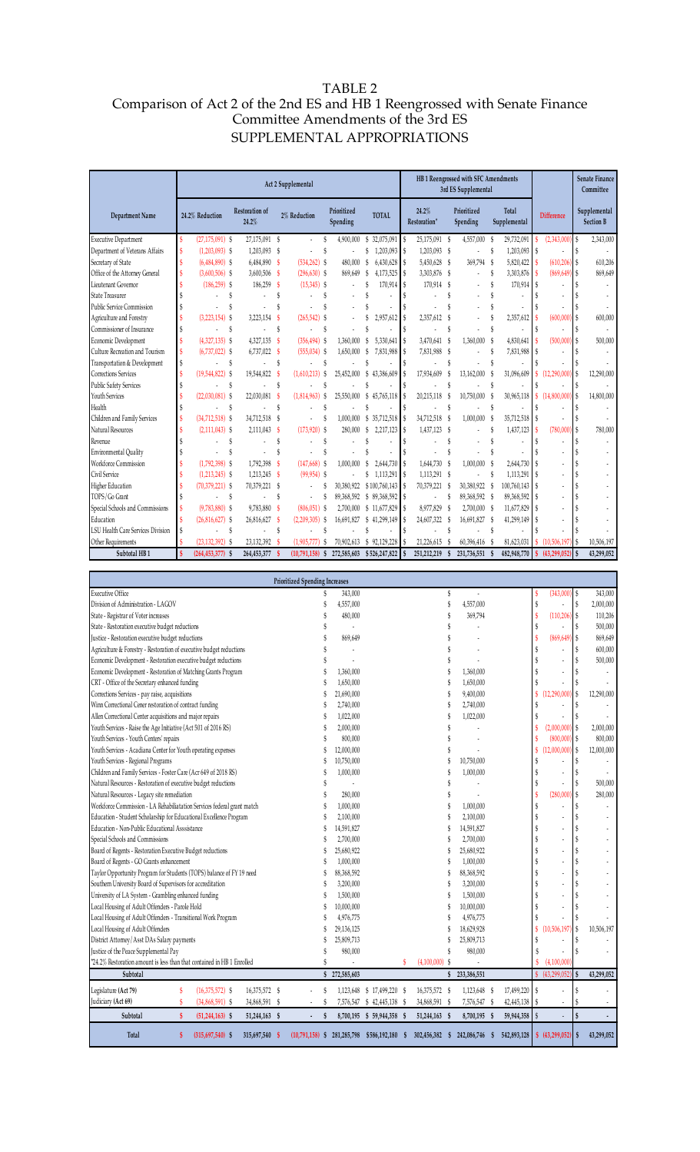## TABLE 2 Comparison of Act 2 of the 2nd ES and HB 1 Reengrossed with Senate Finance Committee Amendments of the 3rd ES SUPPLEMENTAL APPROPRIATIONS

|                                                                                                                                              |    |                       |                                |          | Act 2 Supplemental |                                       |                                                |         |                                | HB 1 Reengrossed with SFC Amendments<br>3rd ES Supplemental |                       |                    |                               |            | <b>Senate Finance</b><br>Committee |
|----------------------------------------------------------------------------------------------------------------------------------------------|----|-----------------------|--------------------------------|----------|--------------------|---------------------------------------|------------------------------------------------|---------|--------------------------------|-------------------------------------------------------------|-----------------------|--------------------|-------------------------------|------------|------------------------------------|
| <b>Department Name</b>                                                                                                                       |    | 24.2% Reduction       | <b>Restoration of</b><br>24.2% |          | 2% Reduction       | Prioritized<br>Spending               | <b>TOTAL</b>                                   |         | 24.2%<br>Restoration*          | Prioritized<br>Spending                                     | Total<br>Supplemental |                    | <b>Difference</b>             |            | Supplemental<br><b>Section B</b>   |
| <b>Executive Department</b>                                                                                                                  | \$ | $(27, 175, 091)$ \$   | 27,175,091 \$                  |          |                    | S<br>4,900,000                        | \$ 32,075,091                                  | S       | 25,175,091 \$                  | 4,557,000                                                   | 29,732,091<br>\$      | \$                 | (2,343,000)                   | \$         | 2,343,000                          |
| Department of Veterans Affairs                                                                                                               | Ŝ  | $(1,203,093)$ \$      | 1,203,093 \$                   |          | ä,                 | Ŝ                                     | 1,203,093<br>S                                 | S       | 1,203,093 \$                   | $\overline{\phantom{a}}$                                    | \$<br>1,203,093       | S                  |                               | \$         |                                    |
| Secretary of State                                                                                                                           | Ś  | $(6,484,890)$ \$      | 6,484,890 \$                   |          | (534, 262)         | S<br>480,000                          | 6,430,628<br>\$                                | S       | 5,450,628 \$                   | 369,794                                                     | S<br>5,820,422        |                    | (610, 206)                    | \$         | 610,206                            |
| Office of the Attorney General                                                                                                               | S  | $(3,600,506)$ \$      | 3,600,506 \$                   |          | $(296, 630)$ \$    | 869,649                               | S<br>4,173,525                                 | S       | 3,303,876 \$                   | $\overline{\phantom{a}}$                                    | \$<br>3,303,876       | $\mathbf{s}$       | (869, 649)                    | \$         | 869,649                            |
| Lieutenant Governor<br>State Treasurer                                                                                                       | \$ | $(186, 259)$ \$<br>\$ | 186,259 \$<br>ä,               | \$       | $(15,345)$ \$      | S<br>$\overline{\phantom{a}}$         | 170,914<br>Ŝ<br>ä,                             | S<br>Ŝ  | 170,914 \$<br>\$               |                                                             | \$<br>170,914<br>Ŝ    | S                  |                               |            |                                    |
| <b>Public Service Commission</b>                                                                                                             | \$ | \$                    |                                | Ŝ        |                    | S                                     |                                                | Ŝ       | Ś                              |                                                             | \$                    |                    |                               |            |                                    |
| Agriculture and Forestry                                                                                                                     | Ŝ  | $(3,223,154)$ \$      | $3,223,154$ \$                 |          | (265, 542)         | S<br>$\overline{\phantom{a}}$         | 2,957,612                                      | S       | 2,357,612<br>£                 | $\overline{\phantom{a}}$                                    | \$<br>2,357,612       |                    | (600, 000)                    | \$         | 600,000                            |
| Commissioner of Insurance                                                                                                                    | \$ | \$                    |                                | \$       |                    | S                                     |                                                | S       | Ŝ                              |                                                             | \$                    |                    |                               |            |                                    |
| Economic Development                                                                                                                         | Ŝ  | $(4,327,135)$ \$      | $4,327,135$ \$                 |          | $(356, 494)$ \$    | 1,360,000                             | 5,330,641<br>S                                 | Ŝ       | 3,470,641<br>\$                | 1,360,000                                                   | S<br>4,830,641        |                    | (500,000)                     | \$         | 500,000                            |
| Culture Recreation and Tourism                                                                                                               | Ś  | $(6,737,022)$ \$      | 6,737,022 \$                   |          | $(555, 034)$ \$    | 1,650,000                             | -\$<br>7,831,988                               | S       | 7,831,988 \$                   | $\overline{\phantom{a}}$                                    | \$<br>7,831,988       | S                  |                               |            |                                    |
| Transportation & Development                                                                                                                 | \$ | \$                    |                                | \$       |                    | Ŝ                                     |                                                | S       | Ŝ                              |                                                             | Ŝ                     |                    |                               |            |                                    |
| Corrections Services                                                                                                                         | Ś  | $(19,544,822)$ \$     | 19,544,822 \$                  |          | (1,610,213)        | \$<br>25,452,000                      | \$<br>43,386,609                               | S       | 17,934,609<br>\$               | 13,162,000                                                  | 31,096,609<br>S       | S                  | (12, 290, 000)                | \$         | 12,290,000                         |
| <b>Public Safety Services</b>                                                                                                                | \$ | \$                    |                                | \$       |                    | S                                     |                                                | Ŝ       | Ŝ                              |                                                             | Ŝ                     |                    |                               |            |                                    |
| Youth Services                                                                                                                               | S  | $(22,030,081)$ \$     | 22,030,081 \$                  |          | (1,814,963)        | 25,550,000<br>S                       | S<br>45,765,118                                | S       | 20,215,118<br>- \$             | 10,750,000                                                  | 30,965,118<br>S       | $\mathbf{\hat{s}}$ | (14,800,000)                  | \$         | 14,800,000                         |
| Health                                                                                                                                       | \$ | S                     |                                | \$       |                    | Ŝ                                     | Ŝ                                              | Ŝ       | \$                             |                                                             | \$                    |                    |                               |            |                                    |
| Children and Family Services                                                                                                                 | Ŝ  | $(34,712,518)$ \$     | 34,712,518 \$                  |          |                    | S<br>1,000,000                        | \$ 35,712,518                                  | S       | 34,712,518<br>- \$             | 1,000,000                                                   | S<br>35,712,518       | S                  |                               | \$         |                                    |
| Natural Resources                                                                                                                            | Ŝ  | $(2,111,043)$ \$      | 2,111,043 \$<br>÷.             |          | (173, 920)<br>Ĭ.   | S<br>280,000                          | \$<br>2,217,123<br>Ŝ                           | \$      | 1,437,123 \$<br>Ŝ<br>÷,        |                                                             | Ŝ<br>1,437,123        |                    | (780,000)                     | \$         | 780,000                            |
| Revenue<br>Environmental Quality                                                                                                             | \$ | \$<br>÷<br>\$         |                                | \$<br>\$ |                    | Ŝ<br>Ŝ                                | ä,<br>Ŝ                                        | \$<br>Ŝ | Ŝ                              | $\overline{\phantom{a}}$                                    | \$<br>\$              |                    |                               | \$         |                                    |
| Workforce Commission                                                                                                                         |    | $(1,792,398)$ \$      | 1,792,398                      | - \$     | (147, 668)         | \$<br>1,000,000                       | \$<br>2,644,730                                | S       | 1,644,730 \$                   | 1,000,000                                                   | -S<br>2,644,730       |                    |                               |            |                                    |
| Civil Service                                                                                                                                |    | $(1,213,245)$ \$      | 1,213,245 \$                   |          | $(99, 954)$ \$     |                                       | \$<br>1,113,291                                | S       | 1,113,291 \$                   | $\overline{\phantom{a}}$                                    | S<br>1,113,291        |                    |                               |            |                                    |
| Higher Education                                                                                                                             | \$ | $(70, 379, 221)$ \$   | 70,379,221 \$                  |          | ä,                 | S                                     | 30,380,922 \$100,760,143 \$                    |         | 70,379,221 \$                  | 30,380,922 \$                                               | 100,760,143           | <sup>S</sup>       |                               | \$         |                                    |
| TOPS/Go Grant                                                                                                                                | Ŝ  | $\sim$                |                                | \$       | $\overline{a}$     | S                                     | 89,368,592 \$ 89,368,592                       | -S      | \$<br>$\overline{\phantom{a}}$ | 89,368,592 \$                                               | 89,368,592            |                    |                               |            |                                    |
| Special Schools and Commissions                                                                                                              | Ŝ  | $(9,783,880)$ \$      | 9,783,880 \$                   |          | $(806, 051)$ \$    |                                       | 2,700,000 \$ 11,677,829                        | Ŝ       | 8,977,829 \$                   | 2,700,000 \$                                                | 11,677,829            | S                  |                               |            |                                    |
| Education                                                                                                                                    |    | $(26,816,627)$ \$     | 26,816,627 \$                  |          | $(2,209,305)$ \$   |                                       | 16,691,827 \$ 41,299,149                       | S       | 24,607,322 \$                  | 16,691,827 \$                                               | 41,299,149            | S                  |                               |            |                                    |
| LSU Health Care Services Division                                                                                                            | \$ | $\sim$<br>÷           | ÷.                             | S        |                    | Ŝ                                     | $\mathbf{\hat{S}}$                             | Ŝ       | Ŝ<br>ä,                        | ÷.                                                          | s                     |                    |                               |            |                                    |
| Other Requirements                                                                                                                           |    | $(23, 132, 392)$ \$   | 23, 132, 392 \$                |          | (1,905,777)        | \$                                    | 70,902,613 \$92,129,228                        | S       | 21,226,615 \$                  | 60,396,416                                                  | S<br>81,623,031       |                    | (10, 506, 197)                | \$         | 10,506,197                         |
| Subtotal HB1                                                                                                                                 |    | $(264, 453, 377)$ \$  | 264,453,377                    |          | (10,791,158)       | 272,585,603<br>S                      | \$526,247,822                                  |         | 251,212,219<br>S               | 231,736,551                                                 | 482,948,770           |                    | (43, 299, 052)                |            | 43,299,052                         |
|                                                                                                                                              |    |                       |                                |          |                    |                                       |                                                |         |                                |                                                             |                       |                    |                               |            |                                    |
|                                                                                                                                              |    |                       |                                |          |                    | <b>Prioritized Spending Increases</b> |                                                |         |                                |                                                             |                       |                    |                               |            |                                    |
| <b>Executive Office</b>                                                                                                                      |    |                       |                                |          |                    | 343,000<br>S                          |                                                |         |                                | \$<br>÷,                                                    |                       |                    | (343,000                      | \$         | 343,000                            |
| Division of Administration - LAGOV                                                                                                           |    |                       |                                |          |                    | 4,557,000                             |                                                |         | ¢                              | 4,557,000                                                   |                       | \$                 |                               | \$         | 2,000,000                          |
| State - Registrar of Voter increases                                                                                                         |    |                       |                                |          |                    | 480,000                               |                                                |         |                                | 369,794                                                     |                       | Ś                  | (110, 206)                    | \$         | 110,206                            |
| State - Restoration executive budget reductions                                                                                              |    | ä,                    |                                |          |                    |                                       |                                                |         |                                |                                                             | 500,000               |                    |                               |            |                                    |
| Justice - Restoration executive budget reductions                                                                                            |    | 869,649               |                                |          |                    |                                       |                                                | \$      | (869, 649                      | \$<br>\$                                                    | 869,649               |                    |                               |            |                                    |
| Agriculture & Forestry - Restoration of executive budget reductions<br>Economic Development - Restoration executive budget reductions        |    |                       |                                |          |                    |                                       |                                                |         |                                |                                                             | 600,000<br>500,000    |                    |                               |            |                                    |
| Economic Development - Restoration of Matching Grants Program                                                                                |    |                       |                                |          |                    | Ŝ<br>1,360,000                        |                                                |         | \$                             | 1,360,000                                                   |                       |                    |                               | \$         |                                    |
| CRT - Office of the Secretary enhanced funding                                                                                               |    |                       |                                |          |                    | 1,650,000                             |                                                |         | \$                             | 1,650,000                                                   |                       |                    |                               |            |                                    |
| Corrections Services - pay raise, acquisitions                                                                                               |    |                       |                                |          |                    | 21,690,000<br>S                       |                                                |         | Ŝ                              | 9,400,000                                                   |                       | \$                 | (12, 290, 000)                | \$         | 12,290,000                         |
| Winn Correctional Cener restoration of contract funding                                                                                      |    |                       |                                |          |                    | 2,740,000                             |                                                |         |                                | 2,740,000                                                   |                       |                    |                               |            |                                    |
| Allen Correctional Center acquisitions and major repairs                                                                                     |    |                       |                                |          |                    | 1,022,000                             |                                                |         | g                              | 1,022,000                                                   |                       |                    |                               | \$         |                                    |
| Youth Services - Raise the Age Initiative (Act 501 of 2016 RS)                                                                               |    |                       |                                |          |                    | 2,000,000                             |                                                |         | ç                              |                                                             |                       |                    | (2,000,000)                   | \$         | 2,000,000                          |
| Youth Services - Youth Centers' repairs                                                                                                      |    |                       |                                |          |                    | 800,000                               |                                                |         |                                |                                                             |                       |                    | (800,000)                     | \$         | 800,000                            |
| Youth Services - Acadiana Center for Youth operating expenses                                                                                |    |                       |                                |          |                    | 12,000,000                            |                                                |         |                                |                                                             |                       | \$                 | 12,000,000                    | \$         | 12,000,000                         |
| Youth Services - Regional Programs                                                                                                           |    |                       |                                |          |                    | 10,750,000<br>S                       |                                                |         |                                | 10,750,000                                                  |                       |                    |                               |            |                                    |
| Children and Family Services - Foster Care (Acr 649 of 2018 RS)                                                                              |    |                       |                                |          |                    | 1,000,000                             |                                                |         |                                | 1,000,000                                                   |                       |                    |                               |            |                                    |
| Natural Resources - Restoration of executive budget reductions                                                                               |    |                       |                                |          |                    | $\overline{\phantom{a}}$              |                                                |         |                                | $\overline{\phantom{a}}$                                    |                       |                    |                               |            | 500,000                            |
| Natural Resources - Legacy site remediation                                                                                                  |    |                       |                                |          |                    | 280,000                               |                                                |         |                                |                                                             |                       | \$                 | (280,000                      | \$         | 280,000                            |
| Workforce Commission - LA Rehabiliatation Services federal grant match<br>Education - Student Scholarship for Educational Excellence Program |    |                       |                                |          |                    | 1,000,000<br>2,100,000                |                                                |         |                                | 1,000,000<br>2,100,000                                      |                       |                    |                               |            |                                    |
| Education - Non-Public Educational Asssistance                                                                                               |    |                       |                                |          |                    | S<br>14,591,827                       |                                                |         | S                              | 14,591,827                                                  |                       |                    |                               |            |                                    |
| Special Schools and Commissions                                                                                                              |    |                       |                                |          |                    | 2,700,000                             |                                                |         |                                | 2,700,000                                                   |                       |                    |                               |            |                                    |
| Board of Regents - Restoration Executive Budget reductions                                                                                   |    |                       |                                |          |                    | 25,680,922<br>S                       |                                                |         |                                | 25,680,922                                                  |                       |                    |                               |            |                                    |
| Board of Regents - GO Grants enhancement                                                                                                     |    |                       |                                |          |                    | 1,000,000                             |                                                |         | S                              | 1,000,000                                                   |                       |                    |                               |            |                                    |
| Taylor Opportunity Program for Students (TOPS) balance of FY 19 need                                                                         |    |                       |                                |          |                    | 88,368,592                            |                                                |         | g                              | 88,368,592                                                  |                       |                    |                               |            |                                    |
| Southern University Board of Supervisors for accreditation                                                                                   |    |                       |                                |          |                    | 3,200,000                             |                                                |         |                                | 3,200,000                                                   |                       |                    |                               |            |                                    |
| University of LA System - Grambling enhanced funding                                                                                         |    |                       |                                |          |                    | 1,500,000                             |                                                |         | g                              | 1,500,000                                                   |                       |                    |                               |            |                                    |
| Local Housing of Adult Offenders - Parole Hold                                                                                               |    |                       |                                |          |                    | 10,000,000<br>S                       |                                                |         | g                              | 10,000,000                                                  |                       |                    |                               |            |                                    |
| Local Housing of Adult Offenders - Transitional Work Program                                                                                 |    |                       |                                |          |                    | 4,976,775                             |                                                |         |                                | 4,976,775                                                   |                       |                    |                               |            |                                    |
| Local Housing of Adult Offenders                                                                                                             |    |                       |                                |          |                    | 29,136,125                            |                                                |         | \$                             | 18,629,928                                                  |                       | \$                 | (10, 506, 197)                | \$         | 10,506,197                         |
| District Attorney/Asst DAs Salary payments                                                                                                   |    |                       |                                |          |                    | 25,809,713                            |                                                |         |                                | 25,809,713                                                  |                       |                    |                               |            |                                    |
| Justice of the Peace Supplemental Pay                                                                                                        |    |                       |                                |          |                    | 980,000                               |                                                |         |                                | 980,000                                                     |                       |                    |                               | \$         |                                    |
| *24.2% Restoration amount is less than that contained in HB 1 Enrolled<br>Subtotal                                                           |    |                       |                                |          |                    | S<br>÷,<br>272,585,603<br>S           |                                                | S       | $(4,100,000)$ \$               | $\overline{\phantom{a}}$<br>\$233,386,551                   |                       |                    | (4,100,000)<br>(43, 299, 052) |            | 43,299,052                         |
|                                                                                                                                              |    |                       |                                |          |                    |                                       |                                                |         |                                |                                                             |                       |                    |                               |            |                                    |
| Legislature (Act 79)                                                                                                                         | \$ | $(16,375,572)$ \$     | 16,375,572 \$                  |          |                    | S                                     | 1,123,648 \$ 17,499,220 \$                     |         | 16,375,572 \$                  | 1,123,648 \$                                                | 17,499,220            | \$                 |                               | \$         |                                    |
| Judiciary (Act 69)                                                                                                                           | \$ | $(34,868,591)$ \$     | 34,868,591 \$                  |          | ÷                  | S                                     | 7,576,547 \$ 42,445,138 \$                     |         | 34,868,591 \$                  | 7,576,547 \$                                                | 42,445,138            | $\mathcal{S}$      |                               |            |                                    |
| Subtotal                                                                                                                                     | \$ | $(51, 244, 163)$ \$   | 51,244,163 \$                  |          | $\blacksquare$     | S                                     | 8,700,195 \$ 59,944,358 \$                     |         | 51,244,163 \$                  | 8,700,195 \$                                                | 59,944,358            | $\mathsf{\$}$      |                               | Ŝ          | ٠                                  |
| <b>Total</b>                                                                                                                                 | \$ | $(315,697,540)$ \$    | 315,697,540 \$                 |          |                    |                                       | $(10,791,158)$ \$ 281,285,798 \$586,192,180 \$ |         |                                | 302,456,382 \$ 242,086,746 \$                               | 542,893,128           |                    | \$ (43,299,052)               | $\sqrt{5}$ | 43,299,052                         |

L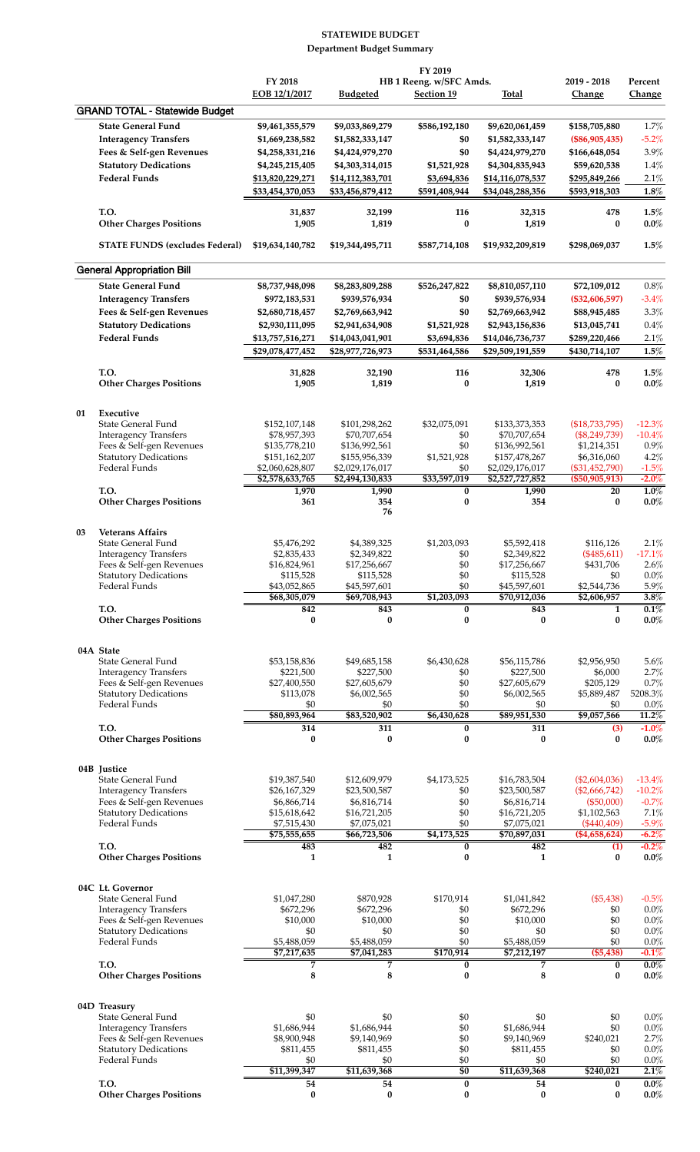## **STATEWIDE BUDGET Department Budget Summary**

|    |                                                          |                                     |                                     | FY 2019                    |                                     |                                    |                      |
|----|----------------------------------------------------------|-------------------------------------|-------------------------------------|----------------------------|-------------------------------------|------------------------------------|----------------------|
|    |                                                          | FY 2018                             |                                     | HB 1 Reeng. w/SFC Amds.    |                                     | 2019 - 2018                        | Percent              |
|    |                                                          | EOB 12/1/2017                       | <b>Budgeted</b>                     | <b>Section 19</b>          | Total                               | Change                             | Change               |
|    | <b>GRAND TOTAL - Statewide Budget</b>                    |                                     |                                     |                            |                                     |                                    |                      |
|    | <b>State General Fund</b>                                | \$9,461,355,579                     | \$9,033,869,279                     | \$586,192,180              | \$9,620,061,459                     | \$158,705,880                      | 1.7%                 |
|    | <b>Interagency Transfers</b>                             | \$1,669,238,582                     | \$1,582,333,147                     | \$0<br>\$0                 | \$1,582,333,147                     | $(\$86,905,435)$<br>\$166,648,054  | $-5.2%$<br>3.9%      |
|    | Fees & Self-gen Revenues                                 | \$4,258,331,216                     | \$4,424,979,270                     |                            | \$4,424,979,270                     |                                    |                      |
|    | <b>Statutory Dedications</b><br><b>Federal Funds</b>     | \$4,245,215,405<br>\$13,820,229,271 | \$4,303,314,015<br>\$14,112,383,701 | \$1,521,928<br>\$3,694,836 | \$4,304,835,943<br>\$14,116,078,537 | \$59,620,538<br>\$295,849,266      | 1.4%<br>2.1%         |
|    |                                                          | \$33,454,370,053                    | \$33,456,879,412                    | \$591,408,944              | \$34,048,288,356                    | \$593,918,303                      | 1.8%                 |
|    |                                                          |                                     |                                     |                            |                                     |                                    |                      |
|    | T.O.                                                     | 31,837                              | 32,199                              | 116                        | 32,315                              | 478                                | $1.5\%$              |
|    | <b>Other Charges Positions</b>                           | 1,905                               | 1,819                               | 0                          | 1,819                               | $\bf{0}$                           | $0.0\%$              |
|    | <b>STATE FUNDS (excludes Federal)</b>                    | \$19,634,140,782                    | \$19,344,495,711                    | \$587,714,108              | \$19,932,209,819                    | \$298,069,037                      | 1.5%                 |
|    | <b>General Appropriation Bill</b>                        |                                     |                                     |                            |                                     |                                    |                      |
|    | <b>State General Fund</b>                                | \$8,737,948,098                     | \$8,283,809,288                     | \$526,247,822              | \$8,810,057,110                     | \$72,109,012                       | $0.8\%$              |
|    | <b>Interagency Transfers</b>                             | \$972,183,531                       | \$939,576,934                       | \$0                        | \$939,576,934                       | $(\$32,606,597)$                   | $-3.4%$              |
|    | Fees & Self-gen Revenues                                 | \$2,680,718,457                     | \$2,769,663,942                     | \$0                        | \$2,769,663,942                     | \$88,945,485                       | 3.3%                 |
|    | <b>Statutory Dedications</b>                             | \$2,930,111,095                     | \$2,941,634,908                     | \$1,521,928                | \$2,943,156,836                     | \$13,045,741                       | 0.4%                 |
|    | <b>Federal Funds</b>                                     | \$13,757,516,271                    | \$14,043,041,901                    | \$3,694,836                | \$14,046,736,737                    | \$289,220,466                      | 2.1%                 |
|    |                                                          | \$29,078,477,452                    | \$28,977,726,973                    | \$531,464,586              | \$29,509,191,559                    | \$430,714,107                      | 1.5%                 |
|    |                                                          |                                     |                                     |                            |                                     |                                    |                      |
|    | T.O.<br><b>Other Charges Positions</b>                   | 31,828<br>1,905                     | 32,190<br>1,819                     | 116<br>$\bf{0}$            | 32,306<br>1,819                     | 478<br>0                           | 1.5%<br>$0.0\%$      |
|    |                                                          |                                     |                                     |                            |                                     |                                    |                      |
| 01 | Executive<br>State General Fund                          | \$152,107,148                       | \$101,298,262                       | \$32,075,091               | \$133,373,353                       | (\$18,733,795)                     | $-12.3%$             |
|    | <b>Interagency Transfers</b>                             | \$78,957,393                        | \$70,707,654                        | \$0                        | \$70,707,654                        | $(\$8,249,739)$                    | $-10.4%$             |
|    | Fees & Self-gen Revenues                                 | \$135,778,210                       | \$136,992,561                       | \$0                        | \$136,992,561                       | \$1,214,351                        | 0.9%                 |
|    | <b>Statutory Dedications</b>                             | \$151,162,207                       | \$155,956,339                       | \$1,521,928                | \$157,478,267                       | \$6,316,060                        | 4.2%                 |
|    | Federal Funds                                            | \$2,060,628,807<br>\$2,578,633,765  | \$2,029,176,017<br>\$2,494,130,833  | \$0<br>\$33,597,019        | \$2,029,176,017<br>\$2,527,727,852  | $(\$31,452,790)$<br>(\$50,905,913) | $-1.5%$<br>$-2.0%$   |
|    | T.O.                                                     | 1,970                               | 1,990                               | 0                          | 1,990                               | 20                                 | $1.0\%$              |
|    | <b>Other Charges Positions</b>                           | 361                                 | 354<br>76                           | $\bf{0}$                   | 354                                 | 0                                  | $0.0\%$              |
| 03 | <b>Veterans Affairs</b>                                  |                                     |                                     |                            |                                     |                                    |                      |
|    | State General Fund                                       | \$5,476,292                         | \$4,389,325                         | \$1,203,093                | \$5,592,418                         | \$116,126                          | 2.1%                 |
|    | <b>Interagency Transfers</b>                             | \$2,835,433                         | \$2,349,822                         | \$0                        | \$2,349,822                         | $(*485,611)$                       | $-17.1%$             |
|    | Fees & Self-gen Revenues                                 | \$16,824,961                        | \$17,256,667                        | \$0                        | \$17,256,667                        | \$431,706                          | 2.6%                 |
|    | Statutory Dedications                                    | \$115,528                           | \$115,528                           | \$0                        | \$115,528                           | \$0                                | $0.0\%$              |
|    | Federal Funds                                            | \$43,052,865<br>\$68,305,079        | \$45,597,601<br>\$69,708,943        | \$0<br>\$1,203,093         | \$45,597,601<br>\$70,912,036        | \$2,544,736<br>\$2,606,957         | $5.9\%$<br>3.8%      |
|    | T.O.                                                     | 842                                 | 843                                 | $\bf{0}$                   | 843                                 | $\mathbf{1}$                       | 0.1%                 |
|    | <b>Other Charges Positions</b>                           | 0                                   | $\bf{0}$                            | 0                          | $\bf{0}$                            | $\bf{0}$                           | $0.0\%$              |
|    | 04A State                                                |                                     |                                     |                            |                                     |                                    |                      |
|    | State General Fund                                       | \$53,158,836                        | \$49,685,158                        | \$6,430,628                | \$56,115,786                        | \$2,956,950                        | 5.6%                 |
|    | <b>Interagency Transfers</b>                             | \$221,500                           | \$227,500                           | \$0                        | \$227,500                           | \$6,000                            | 2.7%                 |
|    | Fees & Self-gen Revenues                                 | \$27,400,550                        | \$27,605,679                        | \$0                        | \$27,605,679                        | \$205,129                          | 0.7%                 |
|    | <b>Statutory Dedications</b><br>Federal Funds            | \$113,078                           | \$6,002,565                         | \$0<br>\$0                 | \$6,002,565                         | \$5,889,487                        | 5208.3%              |
|    |                                                          | \$0<br>\$80,893,964                 | \$0<br>\$83,520,902                 | \$6,430,628                | \$0<br>\$89,951,530                 | \$0<br>\$9,057,566                 | $0.0\%$<br>$11.2\%$  |
|    | T.O.                                                     | 314                                 | 311                                 | 0                          | 311                                 | (3)                                | $-1.0%$              |
|    | <b>Other Charges Positions</b>                           | $\bf{0}$                            | $\bf{0}$                            | 0                          | $\bf{0}$                            | 0                                  | $0.0\%$              |
|    | 04B Justice                                              |                                     |                                     |                            |                                     |                                    |                      |
|    | State General Fund<br><b>Interagency Transfers</b>       | \$19,387,540<br>\$26,167,329        | \$12,609,979<br>\$23,500,587        | \$4,173,525<br>\$0         | \$16,783,504<br>\$23,500,587        | (\$2,604,036)<br>(\$2,666,742)     | $-13.4%$<br>$-10.2%$ |
|    | Fees & Self-gen Revenues                                 | \$6,866,714                         | \$6,816,714                         | \$0                        | \$6,816,714                         | (\$50,000)                         | $-0.7%$              |
|    | <b>Statutory Dedications</b>                             | \$15,618,642                        | \$16,721,205                        | \$0                        | \$16,721,205                        | \$1,102,563                        | 7.1%                 |
|    | Federal Funds                                            | \$7,515,430                         | \$7,075,021                         | \$0                        | \$7,075,021                         | $(*440,409)$                       | $-5.9\%$             |
|    | T.O.                                                     | \$75,555,655<br>483                 | \$66,723,506<br>482                 | \$4,173,525<br>0           | \$70,897,031<br>482                 | (\$4,658,624)<br>(1)               | $-6.2\%$<br>$-0.2\%$ |
|    | <b>Other Charges Positions</b>                           | 1                                   | $\mathbf{1}$                        | 0                          | 1                                   | 0                                  | $0.0\%$              |
|    | 04C Lt. Governor                                         |                                     |                                     |                            |                                     |                                    |                      |
|    | State General Fund                                       | \$1,047,280                         | \$870,928                           | \$170,914                  | \$1,041,842                         | (\$5,438)                          | $-0.5%$              |
|    | <b>Interagency Transfers</b>                             | \$672,296                           | \$672,296                           | \$0                        | \$672,296                           | \$0                                | 0.0%                 |
|    | Fees & Self-gen Revenues<br><b>Statutory Dedications</b> | \$10,000<br>\$0                     | \$10,000<br>\$0                     | \$0<br>\$0                 | \$10,000<br>\$0                     | \$0<br>\$0                         | 0.0%<br>0.0%         |
|    | Federal Funds                                            | \$5,488,059                         | \$5,488,059                         | \$0                        | \$5,488,059                         | \$0                                | 0.0%                 |
|    |                                                          | \$7,217,635                         | \$7,041,283                         | \$170,914                  | \$7,212,197                         | (\$5,438)                          | $-0.1%$              |
|    | T.O.<br><b>Other Charges Positions</b>                   | 7<br>8                              | 7<br>8                              | 0<br>0                     | 7<br>8                              | 0<br>0                             | $0.0\%$<br>$0.0\%$   |
|    |                                                          |                                     |                                     |                            |                                     |                                    |                      |
|    | 04D Treasury<br>State General Fund                       | \$0                                 | \$0                                 | \$0                        | \$0                                 | \$0                                | 0.0%                 |
|    | <b>Interagency Transfers</b>                             | \$1,686,944                         | \$1,686,944                         | \$0                        | \$1,686,944                         | \$0                                | 0.0%                 |
|    | Fees & Self-gen Revenues                                 | \$8,900,948                         | \$9,140,969                         | \$0                        | \$9,140,969                         | \$240,021                          | 2.7%                 |
|    | <b>Statutory Dedications</b>                             | \$811,455                           | \$811,455                           | \$0                        | \$811,455                           | \$0                                | 0.0%                 |
|    | Federal Funds                                            | \$0<br>\$11,399,347                 | \$0<br>\$11,639,368                 | \$0<br>\$0                 | \$0<br>\$11,639,368                 | \$0<br>\$240,021                   | 0.0%<br>$2.1\%$      |
|    | T.O.                                                     | 54                                  | 54                                  | $\overline{\mathbf{0}}$    | 54                                  | $\overline{\mathbf{0}}$            | $0.0\%$              |
|    | <b>Other Charges Positions</b>                           | 0                                   | $\bf{0}$                            | 0                          | $\bf{0}$                            | 0                                  | $0.0\%$              |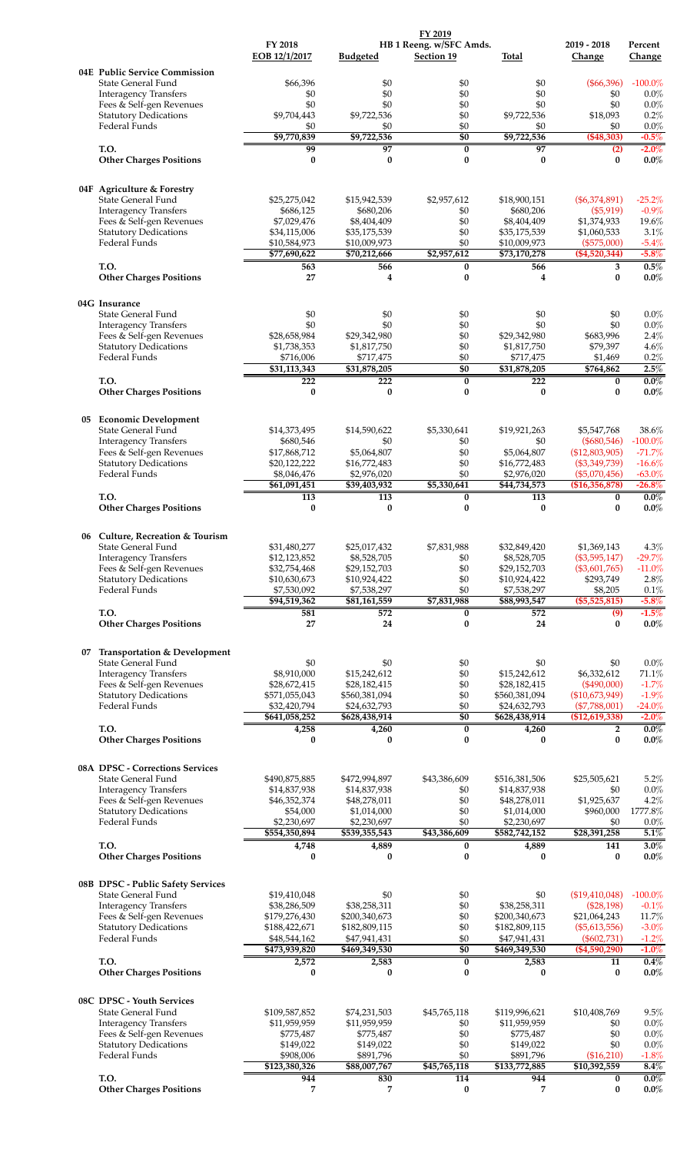|    |                                                          |                                |                                | FY 2019                                      |                                |                                   |                       |
|----|----------------------------------------------------------|--------------------------------|--------------------------------|----------------------------------------------|--------------------------------|-----------------------------------|-----------------------|
|    |                                                          | FY 2018<br>EOB 12/1/2017       | <b>Budgeted</b>                | HB 1 Reeng. w/SFC Amds.<br><b>Section 19</b> | Total                          | 2019 - 2018<br>Change             | Percent<br>Change     |
|    | 04E Public Service Commission                            |                                |                                |                                              |                                |                                   |                       |
|    | State General Fund<br><b>Interagency Transfers</b>       | \$66,396<br>\$0                | \$0<br>\$0                     | \$0<br>\$0                                   | \$0<br>\$0                     | $(\$66,396)$<br>\$0               | $-100.0%$<br>0.0%     |
|    | Fees & Self-gen Revenues                                 | \$0                            | \$0                            | \$0                                          | \$0                            | \$0                               | 0.0%                  |
|    | <b>Statutory Dedications</b><br>Federal Funds            | \$9,704,443<br>\$0             | \$9,722,536<br>\$0             | \$0<br>\$0                                   | \$9,722,536<br>\$0             | \$18,093<br>\$0                   | 0.2%<br>$0.0\%$       |
|    |                                                          | \$9,770,839                    | \$9,722,536                    | $\overline{50}$                              | \$9,722,536                    | (\$48,303)                        | $-0.5%$               |
|    | T.O.                                                     | 99                             | $\overline{97}$                | $\bf{0}$                                     | 97                             | (2)                               | $-2.0\%$              |
|    | <b>Other Charges Positions</b>                           | $\bf{0}$                       | $\bf{0}$                       | $\bf{0}$                                     | $\bf{0}$                       | $\bf{0}$                          | $0.0\%$               |
|    | 04F Agriculture & Forestry<br>State General Fund         | \$25,275,042                   | \$15,942,539                   | \$2,957,612                                  | \$18,900,151                   | $(\$6,374,891)$                   | $-25.2%$              |
|    | <b>Interagency Transfers</b>                             | \$686,125                      | \$680,206                      | \$0                                          | \$680,206                      | (\$5,919)                         | $-0.9%$               |
|    | Fees & Self-gen Revenues                                 | \$7,029,476                    | \$8,404,409                    | \$0                                          | \$8,404,409                    | \$1,374,933                       | 19.6%                 |
|    | <b>Statutory Dedications</b><br>Federal Funds            | \$34,115,006<br>\$10,584,973   | \$35,175,539<br>\$10,009,973   | \$0<br>\$0                                   | \$35,175,539<br>\$10,009,973   | \$1,060,533<br>$(\$575,000)$      | 3.1%<br>$-5.4%$       |
|    |                                                          | \$77,690,622                   | \$70,212,666                   | \$2,957,612                                  | \$73,170,278                   | $(\$4,520,344)$                   | $-5.8%$               |
|    | T.O.<br><b>Other Charges Positions</b>                   | 563<br>27                      | 566<br>$\overline{\mathbf{4}}$ | 0<br>$\bf{0}$                                | 566<br>4                       | 3<br>$\bf{0}$                     | 0.5%<br>$0.0\%$       |
|    | 04G Insurance                                            |                                |                                |                                              |                                |                                   |                       |
|    | State General Fund                                       | \$0                            | \$0                            | \$0                                          | \$0                            | \$0                               | 0.0%                  |
|    | <b>Interagency Transfers</b><br>Fees & Self-gen Revenues | \$0<br>\$28,658,984            | \$0<br>\$29,342,980            | \$0<br>\$0                                   | \$0<br>\$29,342,980            | \$0<br>\$683,996                  | 0.0%<br>2.4%          |
|    | <b>Statutory Dedications</b>                             | \$1,738,353                    | \$1,817,750                    | \$0                                          | \$1,817,750                    | \$79,397                          | 4.6%                  |
|    | Federal Funds                                            | \$716,006                      | \$717,475                      | \$0                                          | \$717,475                      | \$1,469                           | 0.2%                  |
|    | T.O.                                                     | \$31,113,343<br>222            | \$31,878,205<br>222            | $\overline{50}$<br>$\bf{0}$                  | \$31,878,205<br>222            | \$764,862<br>0                    | 2.5%<br>$0.0\%$       |
|    | <b>Other Charges Positions</b>                           | $\bf{0}$                       | $\bf{0}$                       | $\bf{0}$                                     | $\bf{0}$                       | $\bf{0}$                          | $0.0\%$               |
|    | 05 Economic Development                                  |                                |                                |                                              |                                |                                   |                       |
|    | State General Fund                                       | \$14,373,495                   | \$14,590,622                   | \$5,330,641                                  | \$19,921,263                   | \$5,547,768                       | 38.6%                 |
|    | <b>Interagency Transfers</b><br>Fees & Self-gen Revenues | \$680,546<br>\$17,868,712      | \$0<br>\$5,064,807             | \$0<br>\$0                                   | \$0<br>\$5,064,807             | $(\$680,546)$<br>(\$12,803,905)   | $-100.0%$<br>$-71.7%$ |
|    | <b>Statutory Dedications</b>                             | \$20,122,222                   | \$16,772,483                   | \$0                                          | \$16,772,483                   | $(\$3,349,739)$                   | $-16.6%$              |
|    | Federal Funds                                            | \$8,046,476<br>\$61,091,451    | \$2,976,020<br>\$39,403,932    | \$0<br>\$5,330,641                           | \$2,976,020<br>\$44,734,573    | $(\$5,070,456)$<br>(\$16,356,878) | $-63.0%$<br>$-26.8%$  |
|    | T.O.                                                     | 113                            | $\overline{113}$               | $\pmb{0}$                                    | 113                            | 0                                 | $0.0\%$               |
|    | <b>Other Charges Positions</b>                           | $\bf{0}$                       | $\bf{0}$                       | $\bf{0}$                                     | 0                              | $\bf{0}$                          | $0.0\%$               |
|    | 06 Culture, Recreation & Tourism                         |                                |                                |                                              |                                |                                   |                       |
|    | State General Fund                                       | \$31,480,277                   | \$25,017,432                   | \$7,831,988                                  | \$32,849,420                   | \$1,369,143                       | 4.3%                  |
|    | <b>Interagency Transfers</b><br>Fees & Self-gen Revenues | \$12,123,852<br>\$32,754,468   | \$8,528,705<br>\$29,152,703    | \$0<br>\$0                                   | \$8,528,705<br>\$29,152,703    | (\$3,595,147)<br>(\$3,601,765)    | $-29.7%$<br>$-11.0%$  |
|    | <b>Statutory Dedications</b>                             | \$10,630,673                   | \$10,924,422                   | \$0                                          | \$10,924,422                   | \$293,749                         | 2.8%                  |
|    | Federal Funds                                            | \$7,530,092                    | \$7,538,297                    | \$0                                          | \$7,538,297                    | \$8,205                           | 0.1%                  |
|    | T.O.                                                     | \$94,519,362<br>581            | \$81,161,559<br>572            | \$7,831,988<br>0                             | \$88,993,547<br>572            | $(\$5,525,815)$<br>(9)            | $-5.8\%$<br>$-1.5%$   |
|    | <b>Other Charges Positions</b>                           | 27                             | 24                             | $\bf{0}$                                     | 24                             | $\bf{0}$                          | $0.0\%$               |
| 07 | <b>Transportation &amp; Development</b>                  |                                |                                |                                              |                                |                                   |                       |
|    | State General Fund<br><b>Interagency Transfers</b>       | \$0<br>\$8,910,000             | \$0<br>\$15,242,612            | \$0<br>\$0                                   | \$0<br>\$15,242,612            | \$0<br>\$6,332,612                | 0.0%<br>71.1%         |
|    | Fees & Self-gen Revenues                                 | \$28,672,415                   | \$28,182,415                   | \$0                                          | \$28,182,415                   | (\$490,000)                       | $-1.7%$               |
|    | <b>Statutory Dedications</b>                             | \$571,055,043                  | \$560,381,094                  | \$0                                          | \$560,381,094                  | (\$10,673,949)                    | $-1.9%$               |
|    | Federal Funds                                            | \$32,420,794<br>\$641,058,252  | \$24,632,793<br>\$628,438,914  | \$0<br>\$0                                   | \$24,632,793<br>\$628,438,914  | $(\$7,788,001)$<br>(\$12,619,338) | -24.0%<br>$-2.0\%$    |
|    | T.O.                                                     | 4,258                          | 4,260                          | $\bf{0}$                                     | 4,260                          | $\overline{2}$                    | $0.0\%$               |
|    | <b>Other Charges Positions</b>                           | 0                              | $\bf{0}$                       | $\bf{0}$                                     | 0                              | $\bf{0}$                          | $0.0\%$               |
|    | 08A DPSC - Corrections Services<br>State General Fund    | \$490,875,885                  | \$472,994,897                  | \$43,386,609                                 | \$516,381,506                  | \$25,505,621                      | 5.2%                  |
|    | <b>Interagency Transfers</b>                             | \$14,837,938                   | \$14,837,938                   | \$0                                          | \$14,837,938                   | \$0                               | $0.0\%$               |
|    | Fees & Self-gen Revenues                                 | \$46,352,374                   | \$48,278,011                   | \$0                                          | \$48,278,011                   | \$1,925,637                       | 4.2%                  |
|    | <b>Statutory Dedications</b><br>Federal Funds            | \$54,000<br>\$2,230,697        | \$1,014,000<br>\$2,230,697     | \$0<br>\$0                                   | \$1,014,000<br>\$2,230,697     | \$960,000<br>\$0                  | 1777.8%<br>0.0%       |
|    |                                                          | \$554,350,894                  | \$539,355,543                  | \$43,386,609                                 | \$582,742,152                  | \$28,391,258                      | 5.1%                  |
|    | T.O.<br><b>Other Charges Positions</b>                   | 4,748<br>$\bf{0}$              | 4,889<br>$\bf{0}$              | $\bf{0}$<br>$\bf{0}$                         | 4,889<br>$\bf{0}$              | 141<br>$\bf{0}$                   | $3.0\%$<br>$0.0\%$    |
|    | 08B DPSC - Public Safety Services                        |                                |                                |                                              |                                |                                   |                       |
|    | State General Fund                                       | \$19,410,048                   | \$0                            | \$0                                          | \$0                            | (\$19,410,048)                    | $-100.0%$             |
|    | <b>Interagency Transfers</b>                             | \$38,286,509                   | \$38,258,311                   | \$0                                          | \$38,258,311                   | (\$28,198)                        | $-0.1%$               |
|    | Fees & Self-gen Revenues<br><b>Statutory Dedications</b> | \$179,276,430<br>\$188,422,671 | \$200,340,673<br>\$182,809,115 | \$0<br>\$0                                   | \$200,340,673<br>\$182,809,115 | \$21,064,243<br>(\$5,613,556)     | 11.7%<br>$-3.0%$      |
|    | Federal Funds                                            | \$48,544,162                   | \$47,941,431                   | \$0                                          | \$47,941,431                   | $(\$602,731)$                     | $-1.2%$               |
|    |                                                          | \$473,939,820                  | \$469,349,530                  | \$0                                          | \$469,349,530                  | $(\$4,590,290)$                   | $-1.0%$               |
|    | T.O.<br><b>Other Charges Positions</b>                   | 2,572<br>$\bf{0}$              | 2,583<br>$\bf{0}$              | 0<br>$\bf{0}$                                | 2,583<br>$\bf{0}$              | 11<br>$\mathbf{0}$                | 0.4%<br>$0.0\%$       |
|    | 08C DPSC - Youth Services                                |                                |                                |                                              |                                |                                   |                       |
|    | State General Fund                                       | \$109,587,852                  | \$74,231,503                   | \$45,765,118                                 | \$119,996,621                  | \$10,408,769                      | 9.5%                  |
|    | <b>Interagency Transfers</b><br>Fees & Self-gen Revenues | \$11,959,959<br>\$775,487      | \$11,959,959<br>\$775,487      | \$0<br>\$0                                   | \$11,959,959<br>\$775,487      | \$0<br>\$0                        | 0.0%<br>$0.0\%$       |
|    | <b>Statutory Dedications</b>                             | \$149,022                      | \$149,022                      | \$0                                          | \$149,022                      | \$0                               | 0.0%                  |
|    | Federal Funds                                            | \$908,006                      | \$891,796                      | $\$0$                                        | \$891,796                      | (\$16,210)                        | $-1.8%$               |
|    | T.O.                                                     | \$123,380,326<br>944           | \$88,007,767<br>830            | \$45,765,118<br>114                          | \$133,772,885<br>944           | \$10,392,559<br>$\bf{0}$          | $8.4\%$<br>$0.0\%$    |
|    | <b>Other Charges Positions</b>                           | 7                              | 7                              | $\bf{0}$                                     | 7                              | 0                                 | $0.0\%$               |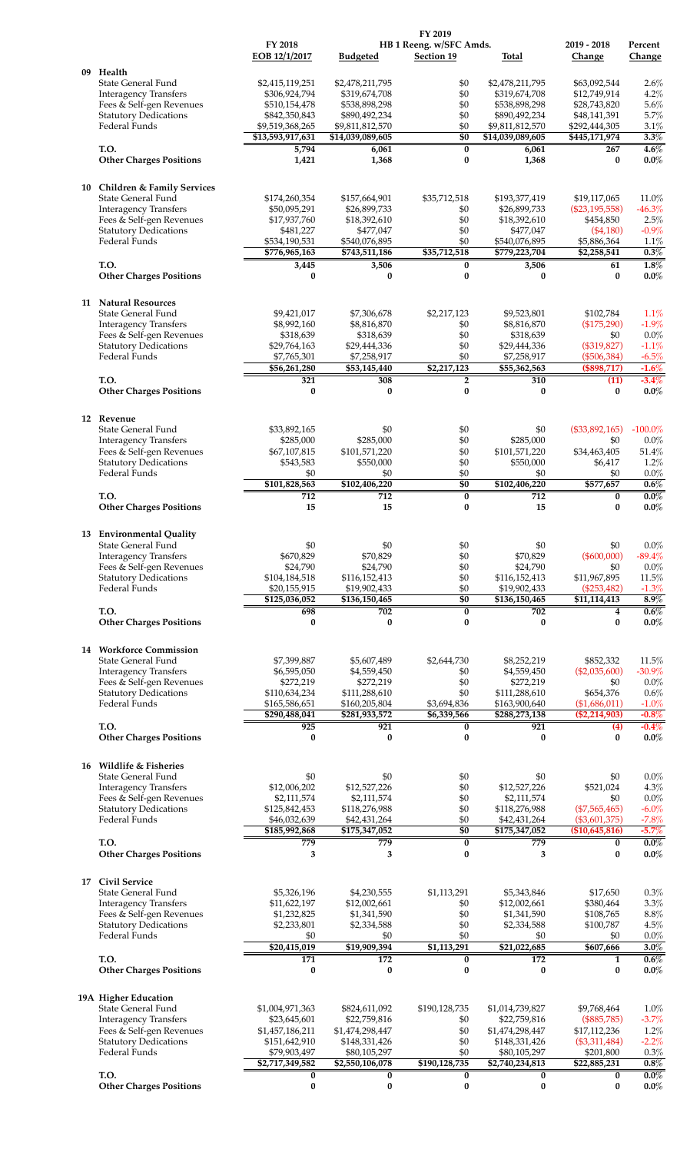| FY 2018<br>HB 1 Reeng. w/SFC Amds.<br>2019 - 2018<br>Percent<br>EOB 12/1/2017<br><b>Budgeted</b><br><b>Section 19</b><br>Total<br>Change<br>Change<br>Health<br>09<br>State General Fund<br>\$0<br>\$2,478,211,795<br>\$2,415,119,251<br>\$2,478,211,795<br>\$63,092,544<br>\$0<br><b>Interagency Transfers</b><br>\$306,924,794<br>\$319,674,708<br>\$12,749,914<br>\$319,674,708<br>Fees & Self-gen Revenues<br>\$538,898,298<br>\$0<br>\$28,743,820<br>5.6%<br>\$510,154,478<br>\$538,898,298<br><b>Statutory Dedications</b><br>\$0<br>5.7%<br>\$842,350,843<br>\$890,492,234<br>\$890,492,234<br>\$48,141,391<br>Federal Funds<br>\$9,519,368,265<br>\$0<br>3.1%<br>\$9,811,812,570<br>\$9,811,812,570<br>\$292,444,305<br>\$0<br>\$13,593,917,631<br>\$14,039,089,605<br>\$14,039,089,605<br>\$445,171,974<br>T.O.<br>5,794<br>$\bf{0}$<br>6,061<br>267<br>6,061<br>$\bf{0}$<br>1,421<br>$\bf{0}$<br>$0.0\%$<br><b>Other Charges Positions</b><br>1,368<br>1,368<br><b>Children &amp; Family Services</b><br>10<br>State General Fund<br>11.0%<br>\$174,260,354<br>\$157,664,901<br>\$35,712,518<br>\$193,377,419<br>\$19,117,065<br><b>Interagency Transfers</b><br>\$50,095,291<br>\$26,899,733<br>\$26,899,733<br>$(\$23,195,558)$<br>\$0<br>\$0<br>Fees & Self-gen Revenues<br>\$17,937,760<br>\$18,392,610<br>\$18,392,610<br>\$454,850<br><b>Statutory Dedications</b><br>\$0<br>$-0.9%$<br>\$481,227<br>\$477,047<br>\$477,047<br>$(\$4,180)$<br>Federal Funds<br>\$534,190,531<br>\$0<br>\$540,076,895<br>\$540,076,895<br>\$5,886,364<br>1.1%<br>\$776,965,163<br>\$743,511,186<br>\$35,712,518<br>\$779,223,704<br>\$2,258,541<br>0.3%<br>T.O.<br>$\bf{0}$<br>3,506<br>61<br>3,445<br>3,506<br>$\bf{0}$<br>$\bf{0}$<br>0<br>$\bf{0}$<br>$\bf{0}$<br><b>Other Charges Positions</b><br>11 Natural Resources<br><b>State General Fund</b><br>1.1%<br>\$9,421,017<br>\$7,306,678<br>\$2,217,123<br>\$9,523,801<br>\$102,784<br>$-1.9%$<br>\$8,992,160<br>\$0<br>\$8,816,870<br>(\$175,290)<br><b>Interagency Transfers</b><br>\$8,816,870<br>\$0<br>Fees & Self-gen Revenues<br>0.0%<br>\$318,639<br>\$318,639<br>\$318,639<br>\$0<br><b>Statutory Dedications</b><br>\$0<br>(\$319,827)<br>\$29,764,163<br>\$29,444,336<br>\$29,444,336<br><b>Federal Funds</b><br>\$0<br>\$7,765,301<br>\$7,258,917<br>\$7,258,917<br>$(\$506,384)$<br>\$56,261,280<br>\$2,217,123<br>(\$898,717)<br>$-1.6%$<br>\$53,145,440<br>\$55,362,563<br>T.O.<br>321<br>308<br>310<br>$-3.4%$<br>2<br>(11)<br>$\bf{0}$<br>$\bf{0}$<br><b>Other Charges Positions</b><br>$\bf{0}$<br>0<br>$\bf{0}$<br>12 Revenue<br>State General Fund<br>\$0<br>\$0<br>\$0<br>(\$33,892,165)<br>\$33,892,165<br>\$285,000<br>\$285,000<br>\$0<br>\$285,000<br>\$0<br>0.0%<br><b>Interagency Transfers</b><br>Fees & Self-gen Revenues<br>\$0<br>\$34,463,405<br>51.4%<br>\$67,107,815<br>\$101,571,220<br>\$101,571,220<br><b>Statutory Dedications</b><br>\$0<br>\$543,583<br>\$550,000<br>\$550,000<br>\$6,417<br>1.2%<br><b>Federal Funds</b><br>\$0<br>\$0<br>\$0<br>\$0<br>\$0<br>\$101,828,563<br>\$102,406,220<br>\$0<br>\$102,406,220<br>\$577,657<br>$0.0\%$<br>T.O.<br>712<br>$\pmb{0}$<br>712<br>712<br>$\bf{0}$<br><b>Other Charges Positions</b><br>15<br>$\bf{0}$<br>15<br>15<br>$\bf{0}$<br>13 Environmental Ouality<br>State General Fund<br>\$0<br>\$0<br>\$0<br>\$0<br>\$0<br>\$0<br><b>Interagency Transfers</b><br>\$670,829<br>\$70,829<br>\$70,829<br>(\$600,000)<br>Fees & Self-gen Revenues<br>\$24,790<br>\$24,790<br>\$0<br>\$24,790<br>\$0<br>0.0%<br><b>Statutory Dedications</b><br>\$0<br>11.5%<br>\$104,184,518<br>\$116,152,413<br>\$116,152,413<br>\$11,967,895<br>Federal Funds<br>\$0<br>$-1.3%$<br>\$20,155,915<br>\$19,902,433<br>\$19,902,433<br>$(\$253,482)$<br>$\overline{50}$<br>\$125,036,052<br>\$136,150,465<br>\$136,150,465<br>\$11,114,413<br>T.O.<br>698<br>702<br>702<br>$\bf{0}$<br>4<br><b>Other Charges Positions</b><br>$\bf{0}$<br>0<br>$\bf{0}$<br>0<br>$\bf{0}$<br>14 Workforce Commission<br>State General Fund<br>\$852,332<br>11.5%<br>\$7,399,887<br>\$5,607,489<br>\$2,644,730<br>\$8,252,219<br><b>Interagency Transfers</b><br>\$6,595,050<br>\$4,559,450<br>\$0<br>\$4,559,450<br>$(\$2,035,600)$<br>\$0<br>Fees & Self-gen Revenues<br>\$272,219<br>\$272,219<br>\$272,219<br>\$0<br><b>Statutory Dedications</b><br>\$0<br>0.6%<br>\$110,634,234<br>\$111,288,610<br>\$111,288,610<br>\$654,376<br>Federal Funds<br>\$165,586,651<br>$-1.0%$<br>\$160,205,804<br>\$3,694,836<br>\$163,900,640<br>$(\$1,686,011)$<br>\$290,488,041<br>\$281,933,572<br>(\$2,214,903)<br>$-0.8%$<br>\$6,339,566<br>\$288,273,138<br>921<br>921<br>T.O.<br>925<br>$\bf{0}$<br>(4)<br>$\bf{0}$<br><b>Other Charges Positions</b><br>0<br>0<br>$\bf{0}$<br>0<br>Wildlife & Fisheries<br>16<br>\$0<br>\$0<br>\$0<br>0.0%<br>State General Fund<br>\$0<br>\$0<br>\$12,006,202<br>\$12,527,226<br>\$0<br>\$12,527,226<br>\$521,024<br>4.3%<br><b>Interagency Transfers</b><br>\$0<br>\$0<br>Fees & Self-gen Revenues<br>\$2,111,574<br>\$2,111,574<br>\$2,111,574<br><b>Statutory Dedications</b><br>\$0<br>\$125,842,453<br>\$118,276,988<br>\$118,276,988<br>$(\$7,565,465)$<br>Federal Funds<br>\$0<br>\$46,032,639<br>\$42,431,264<br>\$42,431,264<br>$(\$3,601,375)$<br>$-7.8%$<br>$-5.7%$<br>\$0<br>\$185,992,868<br>\$175,347,052<br>\$175,347,052<br>(\$10,645,816)<br>$0.0\%$<br>T.O.<br>779<br>779<br>$\bf{0}$<br>779<br>0<br><b>Other Charges Positions</b><br>3<br>3<br>0<br>3<br>0<br><b>Civil Service</b><br>17<br>State General Fund<br>\$5,326,196<br>\$4,230,555<br>\$1,113,291<br>\$5,343,846<br>\$17,650<br>\$12,002,661<br>3.3%<br><b>Interagency Transfers</b><br>\$11,622,197<br>\$0<br>\$12,002,661<br>\$380,464<br>Fees & Self-gen Revenues<br>\$0<br>\$108,765<br>8.8%<br>\$1,232,825<br>\$1,341,590<br>\$1,341,590<br><b>Statutory Dedications</b><br>\$0<br>\$2,233,801<br>\$2,334,588<br>\$2,334,588<br>\$100,787<br>\$0<br>Federal Funds<br>\$0<br>\$0<br>\$0<br>\$0<br>\$20,415,019<br>\$19,909,394<br>\$1,113,291<br>\$21,022,685<br>\$607,666<br>3.0%<br>T.O.<br>171<br>172<br>172<br>0.6%<br>0<br>1<br><b>Other Charges Positions</b><br>0<br>$\bf{0}$<br>0<br>0<br>0<br>19A Higher Education<br>State General Fund<br>\$1,004,971,363<br>\$824,611,092<br>\$190,128,735<br>\$1,014,739,827<br>\$9,768,464<br><b>Interagency Transfers</b><br>\$23,645,601<br>\$22,759,816<br>\$22,759,816<br>$(\$885,785)$<br>\$0<br>\$0<br>1.2%<br>Fees & Self-gen Revenues<br>\$1,457,186,211<br>\$1,474,298,447<br>\$1,474,298,447<br>\$17,112,236<br><b>Statutory Dedications</b><br>\$0<br>$-2.2%$<br>\$151,642,910<br>\$148,331,426<br>\$148,331,426<br>$(\$3,311,484)$<br>$\$0$<br>Federal Funds<br>\$79,903,497<br>\$80,105,297<br>\$80,105,297<br>\$201,800<br>\$2,717,349,582<br>\$2,550,106,078<br>\$190,128,735<br>\$2,740,234,813<br>\$22,885,231<br>T.O.<br>$0.0\%$<br>0<br>0<br>$\bf{0}$<br>0<br>$\bf{0}$<br><b>Other Charges Positions</b><br>$\pmb{0}$<br>$\bf{0}$<br>$\pmb{0}$<br>0<br>$\bf{0}$ |  |  | FY 2019 |  |                 |
|------------------------------------------------------------------------------------------------------------------------------------------------------------------------------------------------------------------------------------------------------------------------------------------------------------------------------------------------------------------------------------------------------------------------------------------------------------------------------------------------------------------------------------------------------------------------------------------------------------------------------------------------------------------------------------------------------------------------------------------------------------------------------------------------------------------------------------------------------------------------------------------------------------------------------------------------------------------------------------------------------------------------------------------------------------------------------------------------------------------------------------------------------------------------------------------------------------------------------------------------------------------------------------------------------------------------------------------------------------------------------------------------------------------------------------------------------------------------------------------------------------------------------------------------------------------------------------------------------------------------------------------------------------------------------------------------------------------------------------------------------------------------------------------------------------------------------------------------------------------------------------------------------------------------------------------------------------------------------------------------------------------------------------------------------------------------------------------------------------------------------------------------------------------------------------------------------------------------------------------------------------------------------------------------------------------------------------------------------------------------------------------------------------------------------------------------------------------------------------------------------------------------------------------------------------------------------------------------------------------------------------------------------------------------------------------------------------------------------------------------------------------------------------------------------------------------------------------------------------------------------------------------------------------------------------------------------------------------------------------------------------------------------------------------------------------------------------------------------------------------------------------------------------------------------------------------------------------------------------------------------------------------------------------------------------------------------------------------------------------------------------------------------------------------------------------------------------------------------------------------------------------------------------------------------------------------------------------------------------------------------------------------------------------------------------------------------------------------------------------------------------------------------------------------------------------------------------------------------------------------------------------------------------------------------------------------------------------------------------------------------------------------------------------------------------------------------------------------------------------------------------------------------------------------------------------------------------------------------------------------------------------------------------------------------------------------------------------------------------------------------------------------------------------------------------------------------------------------------------------------------------------------------------------------------------------------------------------------------------------------------------------------------------------------------------------------------------------------------------------------------------------------------------------------------------------------------------------------------------------------------------------------------------------------------------------------------------------------------------------------------------------------------------------------------------------------------------------------------------------------------------------------------------------------------------------------------------------------------------------------------------------------------------------------------------------------------------------------------------------------------------------------------------------------------------------------------------------------------------------------------------------------------------------------------------------------------------------------------------------------------------------------------------------------------------------------------------------------------------------------------------------------------------------------------------------------------------------------------------------------------------------------------------------------------------------------------------------------------------------------------------------------------------------------------------------------------------------------------------------------------------------------------------------------------------------------------------------------------------------------------------------------------------------------------------------------------------------------------------------------------------------------------------------------------------------------------------------------------------------------------------------------------------------------------------------------------------------------------------------------------------------------------------------------------------------------------------------------------------------------------------------------------------------------------------------------------------------------------------------------------------------------------------------------------------------------------------------------------------------------------------------------------------------------------|--|--|---------|--|-----------------|
|                                                                                                                                                                                                                                                                                                                                                                                                                                                                                                                                                                                                                                                                                                                                                                                                                                                                                                                                                                                                                                                                                                                                                                                                                                                                                                                                                                                                                                                                                                                                                                                                                                                                                                                                                                                                                                                                                                                                                                                                                                                                                                                                                                                                                                                                                                                                                                                                                                                                                                                                                                                                                                                                                                                                                                                                                                                                                                                                                                                                                                                                                                                                                                                                                                                                                                                                                                                                                                                                                                                                                                                                                                                                                                                                                                                                                                                                                                                                                                                                                                                                                                                                                                                                                                                                                                                                                                                                                                                                                                                                                                                                                                                                                                                                                                                                                                                                                                                                                                                                                                                                                                                                                                                                                                                                                                                                                                                                                                                                                                                                                                                                                                                                                                                                                                                                                                                                                                                                                                                                                                                                                                                                                                                                                                                                                                                                                                                                                                                                                                                                                                                                                                                                                                                                                                                                                                                                                                                                                                                                                                                      |  |  |         |  |                 |
|                                                                                                                                                                                                                                                                                                                                                                                                                                                                                                                                                                                                                                                                                                                                                                                                                                                                                                                                                                                                                                                                                                                                                                                                                                                                                                                                                                                                                                                                                                                                                                                                                                                                                                                                                                                                                                                                                                                                                                                                                                                                                                                                                                                                                                                                                                                                                                                                                                                                                                                                                                                                                                                                                                                                                                                                                                                                                                                                                                                                                                                                                                                                                                                                                                                                                                                                                                                                                                                                                                                                                                                                                                                                                                                                                                                                                                                                                                                                                                                                                                                                                                                                                                                                                                                                                                                                                                                                                                                                                                                                                                                                                                                                                                                                                                                                                                                                                                                                                                                                                                                                                                                                                                                                                                                                                                                                                                                                                                                                                                                                                                                                                                                                                                                                                                                                                                                                                                                                                                                                                                                                                                                                                                                                                                                                                                                                                                                                                                                                                                                                                                                                                                                                                                                                                                                                                                                                                                                                                                                                                                                      |  |  |         |  |                 |
|                                                                                                                                                                                                                                                                                                                                                                                                                                                                                                                                                                                                                                                                                                                                                                                                                                                                                                                                                                                                                                                                                                                                                                                                                                                                                                                                                                                                                                                                                                                                                                                                                                                                                                                                                                                                                                                                                                                                                                                                                                                                                                                                                                                                                                                                                                                                                                                                                                                                                                                                                                                                                                                                                                                                                                                                                                                                                                                                                                                                                                                                                                                                                                                                                                                                                                                                                                                                                                                                                                                                                                                                                                                                                                                                                                                                                                                                                                                                                                                                                                                                                                                                                                                                                                                                                                                                                                                                                                                                                                                                                                                                                                                                                                                                                                                                                                                                                                                                                                                                                                                                                                                                                                                                                                                                                                                                                                                                                                                                                                                                                                                                                                                                                                                                                                                                                                                                                                                                                                                                                                                                                                                                                                                                                                                                                                                                                                                                                                                                                                                                                                                                                                                                                                                                                                                                                                                                                                                                                                                                                                                      |  |  |         |  | 2.6%            |
|                                                                                                                                                                                                                                                                                                                                                                                                                                                                                                                                                                                                                                                                                                                                                                                                                                                                                                                                                                                                                                                                                                                                                                                                                                                                                                                                                                                                                                                                                                                                                                                                                                                                                                                                                                                                                                                                                                                                                                                                                                                                                                                                                                                                                                                                                                                                                                                                                                                                                                                                                                                                                                                                                                                                                                                                                                                                                                                                                                                                                                                                                                                                                                                                                                                                                                                                                                                                                                                                                                                                                                                                                                                                                                                                                                                                                                                                                                                                                                                                                                                                                                                                                                                                                                                                                                                                                                                                                                                                                                                                                                                                                                                                                                                                                                                                                                                                                                                                                                                                                                                                                                                                                                                                                                                                                                                                                                                                                                                                                                                                                                                                                                                                                                                                                                                                                                                                                                                                                                                                                                                                                                                                                                                                                                                                                                                                                                                                                                                                                                                                                                                                                                                                                                                                                                                                                                                                                                                                                                                                                                                      |  |  |         |  | 4.2%            |
|                                                                                                                                                                                                                                                                                                                                                                                                                                                                                                                                                                                                                                                                                                                                                                                                                                                                                                                                                                                                                                                                                                                                                                                                                                                                                                                                                                                                                                                                                                                                                                                                                                                                                                                                                                                                                                                                                                                                                                                                                                                                                                                                                                                                                                                                                                                                                                                                                                                                                                                                                                                                                                                                                                                                                                                                                                                                                                                                                                                                                                                                                                                                                                                                                                                                                                                                                                                                                                                                                                                                                                                                                                                                                                                                                                                                                                                                                                                                                                                                                                                                                                                                                                                                                                                                                                                                                                                                                                                                                                                                                                                                                                                                                                                                                                                                                                                                                                                                                                                                                                                                                                                                                                                                                                                                                                                                                                                                                                                                                                                                                                                                                                                                                                                                                                                                                                                                                                                                                                                                                                                                                                                                                                                                                                                                                                                                                                                                                                                                                                                                                                                                                                                                                                                                                                                                                                                                                                                                                                                                                                                      |  |  |         |  |                 |
|                                                                                                                                                                                                                                                                                                                                                                                                                                                                                                                                                                                                                                                                                                                                                                                                                                                                                                                                                                                                                                                                                                                                                                                                                                                                                                                                                                                                                                                                                                                                                                                                                                                                                                                                                                                                                                                                                                                                                                                                                                                                                                                                                                                                                                                                                                                                                                                                                                                                                                                                                                                                                                                                                                                                                                                                                                                                                                                                                                                                                                                                                                                                                                                                                                                                                                                                                                                                                                                                                                                                                                                                                                                                                                                                                                                                                                                                                                                                                                                                                                                                                                                                                                                                                                                                                                                                                                                                                                                                                                                                                                                                                                                                                                                                                                                                                                                                                                                                                                                                                                                                                                                                                                                                                                                                                                                                                                                                                                                                                                                                                                                                                                                                                                                                                                                                                                                                                                                                                                                                                                                                                                                                                                                                                                                                                                                                                                                                                                                                                                                                                                                                                                                                                                                                                                                                                                                                                                                                                                                                                                                      |  |  |         |  |                 |
|                                                                                                                                                                                                                                                                                                                                                                                                                                                                                                                                                                                                                                                                                                                                                                                                                                                                                                                                                                                                                                                                                                                                                                                                                                                                                                                                                                                                                                                                                                                                                                                                                                                                                                                                                                                                                                                                                                                                                                                                                                                                                                                                                                                                                                                                                                                                                                                                                                                                                                                                                                                                                                                                                                                                                                                                                                                                                                                                                                                                                                                                                                                                                                                                                                                                                                                                                                                                                                                                                                                                                                                                                                                                                                                                                                                                                                                                                                                                                                                                                                                                                                                                                                                                                                                                                                                                                                                                                                                                                                                                                                                                                                                                                                                                                                                                                                                                                                                                                                                                                                                                                                                                                                                                                                                                                                                                                                                                                                                                                                                                                                                                                                                                                                                                                                                                                                                                                                                                                                                                                                                                                                                                                                                                                                                                                                                                                                                                                                                                                                                                                                                                                                                                                                                                                                                                                                                                                                                                                                                                                                                      |  |  |         |  | 3.3%            |
|                                                                                                                                                                                                                                                                                                                                                                                                                                                                                                                                                                                                                                                                                                                                                                                                                                                                                                                                                                                                                                                                                                                                                                                                                                                                                                                                                                                                                                                                                                                                                                                                                                                                                                                                                                                                                                                                                                                                                                                                                                                                                                                                                                                                                                                                                                                                                                                                                                                                                                                                                                                                                                                                                                                                                                                                                                                                                                                                                                                                                                                                                                                                                                                                                                                                                                                                                                                                                                                                                                                                                                                                                                                                                                                                                                                                                                                                                                                                                                                                                                                                                                                                                                                                                                                                                                                                                                                                                                                                                                                                                                                                                                                                                                                                                                                                                                                                                                                                                                                                                                                                                                                                                                                                                                                                                                                                                                                                                                                                                                                                                                                                                                                                                                                                                                                                                                                                                                                                                                                                                                                                                                                                                                                                                                                                                                                                                                                                                                                                                                                                                                                                                                                                                                                                                                                                                                                                                                                                                                                                                                                      |  |  |         |  | 4.6%            |
|                                                                                                                                                                                                                                                                                                                                                                                                                                                                                                                                                                                                                                                                                                                                                                                                                                                                                                                                                                                                                                                                                                                                                                                                                                                                                                                                                                                                                                                                                                                                                                                                                                                                                                                                                                                                                                                                                                                                                                                                                                                                                                                                                                                                                                                                                                                                                                                                                                                                                                                                                                                                                                                                                                                                                                                                                                                                                                                                                                                                                                                                                                                                                                                                                                                                                                                                                                                                                                                                                                                                                                                                                                                                                                                                                                                                                                                                                                                                                                                                                                                                                                                                                                                                                                                                                                                                                                                                                                                                                                                                                                                                                                                                                                                                                                                                                                                                                                                                                                                                                                                                                                                                                                                                                                                                                                                                                                                                                                                                                                                                                                                                                                                                                                                                                                                                                                                                                                                                                                                                                                                                                                                                                                                                                                                                                                                                                                                                                                                                                                                                                                                                                                                                                                                                                                                                                                                                                                                                                                                                                                                      |  |  |         |  |                 |
|                                                                                                                                                                                                                                                                                                                                                                                                                                                                                                                                                                                                                                                                                                                                                                                                                                                                                                                                                                                                                                                                                                                                                                                                                                                                                                                                                                                                                                                                                                                                                                                                                                                                                                                                                                                                                                                                                                                                                                                                                                                                                                                                                                                                                                                                                                                                                                                                                                                                                                                                                                                                                                                                                                                                                                                                                                                                                                                                                                                                                                                                                                                                                                                                                                                                                                                                                                                                                                                                                                                                                                                                                                                                                                                                                                                                                                                                                                                                                                                                                                                                                                                                                                                                                                                                                                                                                                                                                                                                                                                                                                                                                                                                                                                                                                                                                                                                                                                                                                                                                                                                                                                                                                                                                                                                                                                                                                                                                                                                                                                                                                                                                                                                                                                                                                                                                                                                                                                                                                                                                                                                                                                                                                                                                                                                                                                                                                                                                                                                                                                                                                                                                                                                                                                                                                                                                                                                                                                                                                                                                                                      |  |  |         |  |                 |
|                                                                                                                                                                                                                                                                                                                                                                                                                                                                                                                                                                                                                                                                                                                                                                                                                                                                                                                                                                                                                                                                                                                                                                                                                                                                                                                                                                                                                                                                                                                                                                                                                                                                                                                                                                                                                                                                                                                                                                                                                                                                                                                                                                                                                                                                                                                                                                                                                                                                                                                                                                                                                                                                                                                                                                                                                                                                                                                                                                                                                                                                                                                                                                                                                                                                                                                                                                                                                                                                                                                                                                                                                                                                                                                                                                                                                                                                                                                                                                                                                                                                                                                                                                                                                                                                                                                                                                                                                                                                                                                                                                                                                                                                                                                                                                                                                                                                                                                                                                                                                                                                                                                                                                                                                                                                                                                                                                                                                                                                                                                                                                                                                                                                                                                                                                                                                                                                                                                                                                                                                                                                                                                                                                                                                                                                                                                                                                                                                                                                                                                                                                                                                                                                                                                                                                                                                                                                                                                                                                                                                                                      |  |  |         |  | $-46.3%$        |
|                                                                                                                                                                                                                                                                                                                                                                                                                                                                                                                                                                                                                                                                                                                                                                                                                                                                                                                                                                                                                                                                                                                                                                                                                                                                                                                                                                                                                                                                                                                                                                                                                                                                                                                                                                                                                                                                                                                                                                                                                                                                                                                                                                                                                                                                                                                                                                                                                                                                                                                                                                                                                                                                                                                                                                                                                                                                                                                                                                                                                                                                                                                                                                                                                                                                                                                                                                                                                                                                                                                                                                                                                                                                                                                                                                                                                                                                                                                                                                                                                                                                                                                                                                                                                                                                                                                                                                                                                                                                                                                                                                                                                                                                                                                                                                                                                                                                                                                                                                                                                                                                                                                                                                                                                                                                                                                                                                                                                                                                                                                                                                                                                                                                                                                                                                                                                                                                                                                                                                                                                                                                                                                                                                                                                                                                                                                                                                                                                                                                                                                                                                                                                                                                                                                                                                                                                                                                                                                                                                                                                                                      |  |  |         |  | 2.5%            |
|                                                                                                                                                                                                                                                                                                                                                                                                                                                                                                                                                                                                                                                                                                                                                                                                                                                                                                                                                                                                                                                                                                                                                                                                                                                                                                                                                                                                                                                                                                                                                                                                                                                                                                                                                                                                                                                                                                                                                                                                                                                                                                                                                                                                                                                                                                                                                                                                                                                                                                                                                                                                                                                                                                                                                                                                                                                                                                                                                                                                                                                                                                                                                                                                                                                                                                                                                                                                                                                                                                                                                                                                                                                                                                                                                                                                                                                                                                                                                                                                                                                                                                                                                                                                                                                                                                                                                                                                                                                                                                                                                                                                                                                                                                                                                                                                                                                                                                                                                                                                                                                                                                                                                                                                                                                                                                                                                                                                                                                                                                                                                                                                                                                                                                                                                                                                                                                                                                                                                                                                                                                                                                                                                                                                                                                                                                                                                                                                                                                                                                                                                                                                                                                                                                                                                                                                                                                                                                                                                                                                                                                      |  |  |         |  |                 |
|                                                                                                                                                                                                                                                                                                                                                                                                                                                                                                                                                                                                                                                                                                                                                                                                                                                                                                                                                                                                                                                                                                                                                                                                                                                                                                                                                                                                                                                                                                                                                                                                                                                                                                                                                                                                                                                                                                                                                                                                                                                                                                                                                                                                                                                                                                                                                                                                                                                                                                                                                                                                                                                                                                                                                                                                                                                                                                                                                                                                                                                                                                                                                                                                                                                                                                                                                                                                                                                                                                                                                                                                                                                                                                                                                                                                                                                                                                                                                                                                                                                                                                                                                                                                                                                                                                                                                                                                                                                                                                                                                                                                                                                                                                                                                                                                                                                                                                                                                                                                                                                                                                                                                                                                                                                                                                                                                                                                                                                                                                                                                                                                                                                                                                                                                                                                                                                                                                                                                                                                                                                                                                                                                                                                                                                                                                                                                                                                                                                                                                                                                                                                                                                                                                                                                                                                                                                                                                                                                                                                                                                      |  |  |         |  |                 |
|                                                                                                                                                                                                                                                                                                                                                                                                                                                                                                                                                                                                                                                                                                                                                                                                                                                                                                                                                                                                                                                                                                                                                                                                                                                                                                                                                                                                                                                                                                                                                                                                                                                                                                                                                                                                                                                                                                                                                                                                                                                                                                                                                                                                                                                                                                                                                                                                                                                                                                                                                                                                                                                                                                                                                                                                                                                                                                                                                                                                                                                                                                                                                                                                                                                                                                                                                                                                                                                                                                                                                                                                                                                                                                                                                                                                                                                                                                                                                                                                                                                                                                                                                                                                                                                                                                                                                                                                                                                                                                                                                                                                                                                                                                                                                                                                                                                                                                                                                                                                                                                                                                                                                                                                                                                                                                                                                                                                                                                                                                                                                                                                                                                                                                                                                                                                                                                                                                                                                                                                                                                                                                                                                                                                                                                                                                                                                                                                                                                                                                                                                                                                                                                                                                                                                                                                                                                                                                                                                                                                                                                      |  |  |         |  | $1.8\%$         |
|                                                                                                                                                                                                                                                                                                                                                                                                                                                                                                                                                                                                                                                                                                                                                                                                                                                                                                                                                                                                                                                                                                                                                                                                                                                                                                                                                                                                                                                                                                                                                                                                                                                                                                                                                                                                                                                                                                                                                                                                                                                                                                                                                                                                                                                                                                                                                                                                                                                                                                                                                                                                                                                                                                                                                                                                                                                                                                                                                                                                                                                                                                                                                                                                                                                                                                                                                                                                                                                                                                                                                                                                                                                                                                                                                                                                                                                                                                                                                                                                                                                                                                                                                                                                                                                                                                                                                                                                                                                                                                                                                                                                                                                                                                                                                                                                                                                                                                                                                                                                                                                                                                                                                                                                                                                                                                                                                                                                                                                                                                                                                                                                                                                                                                                                                                                                                                                                                                                                                                                                                                                                                                                                                                                                                                                                                                                                                                                                                                                                                                                                                                                                                                                                                                                                                                                                                                                                                                                                                                                                                                                      |  |  |         |  | $0.0\%$         |
|                                                                                                                                                                                                                                                                                                                                                                                                                                                                                                                                                                                                                                                                                                                                                                                                                                                                                                                                                                                                                                                                                                                                                                                                                                                                                                                                                                                                                                                                                                                                                                                                                                                                                                                                                                                                                                                                                                                                                                                                                                                                                                                                                                                                                                                                                                                                                                                                                                                                                                                                                                                                                                                                                                                                                                                                                                                                                                                                                                                                                                                                                                                                                                                                                                                                                                                                                                                                                                                                                                                                                                                                                                                                                                                                                                                                                                                                                                                                                                                                                                                                                                                                                                                                                                                                                                                                                                                                                                                                                                                                                                                                                                                                                                                                                                                                                                                                                                                                                                                                                                                                                                                                                                                                                                                                                                                                                                                                                                                                                                                                                                                                                                                                                                                                                                                                                                                                                                                                                                                                                                                                                                                                                                                                                                                                                                                                                                                                                                                                                                                                                                                                                                                                                                                                                                                                                                                                                                                                                                                                                                                      |  |  |         |  |                 |
|                                                                                                                                                                                                                                                                                                                                                                                                                                                                                                                                                                                                                                                                                                                                                                                                                                                                                                                                                                                                                                                                                                                                                                                                                                                                                                                                                                                                                                                                                                                                                                                                                                                                                                                                                                                                                                                                                                                                                                                                                                                                                                                                                                                                                                                                                                                                                                                                                                                                                                                                                                                                                                                                                                                                                                                                                                                                                                                                                                                                                                                                                                                                                                                                                                                                                                                                                                                                                                                                                                                                                                                                                                                                                                                                                                                                                                                                                                                                                                                                                                                                                                                                                                                                                                                                                                                                                                                                                                                                                                                                                                                                                                                                                                                                                                                                                                                                                                                                                                                                                                                                                                                                                                                                                                                                                                                                                                                                                                                                                                                                                                                                                                                                                                                                                                                                                                                                                                                                                                                                                                                                                                                                                                                                                                                                                                                                                                                                                                                                                                                                                                                                                                                                                                                                                                                                                                                                                                                                                                                                                                                      |  |  |         |  |                 |
|                                                                                                                                                                                                                                                                                                                                                                                                                                                                                                                                                                                                                                                                                                                                                                                                                                                                                                                                                                                                                                                                                                                                                                                                                                                                                                                                                                                                                                                                                                                                                                                                                                                                                                                                                                                                                                                                                                                                                                                                                                                                                                                                                                                                                                                                                                                                                                                                                                                                                                                                                                                                                                                                                                                                                                                                                                                                                                                                                                                                                                                                                                                                                                                                                                                                                                                                                                                                                                                                                                                                                                                                                                                                                                                                                                                                                                                                                                                                                                                                                                                                                                                                                                                                                                                                                                                                                                                                                                                                                                                                                                                                                                                                                                                                                                                                                                                                                                                                                                                                                                                                                                                                                                                                                                                                                                                                                                                                                                                                                                                                                                                                                                                                                                                                                                                                                                                                                                                                                                                                                                                                                                                                                                                                                                                                                                                                                                                                                                                                                                                                                                                                                                                                                                                                                                                                                                                                                                                                                                                                                                                      |  |  |         |  |                 |
|                                                                                                                                                                                                                                                                                                                                                                                                                                                                                                                                                                                                                                                                                                                                                                                                                                                                                                                                                                                                                                                                                                                                                                                                                                                                                                                                                                                                                                                                                                                                                                                                                                                                                                                                                                                                                                                                                                                                                                                                                                                                                                                                                                                                                                                                                                                                                                                                                                                                                                                                                                                                                                                                                                                                                                                                                                                                                                                                                                                                                                                                                                                                                                                                                                                                                                                                                                                                                                                                                                                                                                                                                                                                                                                                                                                                                                                                                                                                                                                                                                                                                                                                                                                                                                                                                                                                                                                                                                                                                                                                                                                                                                                                                                                                                                                                                                                                                                                                                                                                                                                                                                                                                                                                                                                                                                                                                                                                                                                                                                                                                                                                                                                                                                                                                                                                                                                                                                                                                                                                                                                                                                                                                                                                                                                                                                                                                                                                                                                                                                                                                                                                                                                                                                                                                                                                                                                                                                                                                                                                                                                      |  |  |         |  | $-1.1%$         |
|                                                                                                                                                                                                                                                                                                                                                                                                                                                                                                                                                                                                                                                                                                                                                                                                                                                                                                                                                                                                                                                                                                                                                                                                                                                                                                                                                                                                                                                                                                                                                                                                                                                                                                                                                                                                                                                                                                                                                                                                                                                                                                                                                                                                                                                                                                                                                                                                                                                                                                                                                                                                                                                                                                                                                                                                                                                                                                                                                                                                                                                                                                                                                                                                                                                                                                                                                                                                                                                                                                                                                                                                                                                                                                                                                                                                                                                                                                                                                                                                                                                                                                                                                                                                                                                                                                                                                                                                                                                                                                                                                                                                                                                                                                                                                                                                                                                                                                                                                                                                                                                                                                                                                                                                                                                                                                                                                                                                                                                                                                                                                                                                                                                                                                                                                                                                                                                                                                                                                                                                                                                                                                                                                                                                                                                                                                                                                                                                                                                                                                                                                                                                                                                                                                                                                                                                                                                                                                                                                                                                                                                      |  |  |         |  | $-6.5%$         |
|                                                                                                                                                                                                                                                                                                                                                                                                                                                                                                                                                                                                                                                                                                                                                                                                                                                                                                                                                                                                                                                                                                                                                                                                                                                                                                                                                                                                                                                                                                                                                                                                                                                                                                                                                                                                                                                                                                                                                                                                                                                                                                                                                                                                                                                                                                                                                                                                                                                                                                                                                                                                                                                                                                                                                                                                                                                                                                                                                                                                                                                                                                                                                                                                                                                                                                                                                                                                                                                                                                                                                                                                                                                                                                                                                                                                                                                                                                                                                                                                                                                                                                                                                                                                                                                                                                                                                                                                                                                                                                                                                                                                                                                                                                                                                                                                                                                                                                                                                                                                                                                                                                                                                                                                                                                                                                                                                                                                                                                                                                                                                                                                                                                                                                                                                                                                                                                                                                                                                                                                                                                                                                                                                                                                                                                                                                                                                                                                                                                                                                                                                                                                                                                                                                                                                                                                                                                                                                                                                                                                                                                      |  |  |         |  |                 |
|                                                                                                                                                                                                                                                                                                                                                                                                                                                                                                                                                                                                                                                                                                                                                                                                                                                                                                                                                                                                                                                                                                                                                                                                                                                                                                                                                                                                                                                                                                                                                                                                                                                                                                                                                                                                                                                                                                                                                                                                                                                                                                                                                                                                                                                                                                                                                                                                                                                                                                                                                                                                                                                                                                                                                                                                                                                                                                                                                                                                                                                                                                                                                                                                                                                                                                                                                                                                                                                                                                                                                                                                                                                                                                                                                                                                                                                                                                                                                                                                                                                                                                                                                                                                                                                                                                                                                                                                                                                                                                                                                                                                                                                                                                                                                                                                                                                                                                                                                                                                                                                                                                                                                                                                                                                                                                                                                                                                                                                                                                                                                                                                                                                                                                                                                                                                                                                                                                                                                                                                                                                                                                                                                                                                                                                                                                                                                                                                                                                                                                                                                                                                                                                                                                                                                                                                                                                                                                                                                                                                                                                      |  |  |         |  | $0.0\%$         |
|                                                                                                                                                                                                                                                                                                                                                                                                                                                                                                                                                                                                                                                                                                                                                                                                                                                                                                                                                                                                                                                                                                                                                                                                                                                                                                                                                                                                                                                                                                                                                                                                                                                                                                                                                                                                                                                                                                                                                                                                                                                                                                                                                                                                                                                                                                                                                                                                                                                                                                                                                                                                                                                                                                                                                                                                                                                                                                                                                                                                                                                                                                                                                                                                                                                                                                                                                                                                                                                                                                                                                                                                                                                                                                                                                                                                                                                                                                                                                                                                                                                                                                                                                                                                                                                                                                                                                                                                                                                                                                                                                                                                                                                                                                                                                                                                                                                                                                                                                                                                                                                                                                                                                                                                                                                                                                                                                                                                                                                                                                                                                                                                                                                                                                                                                                                                                                                                                                                                                                                                                                                                                                                                                                                                                                                                                                                                                                                                                                                                                                                                                                                                                                                                                                                                                                                                                                                                                                                                                                                                                                                      |  |  |         |  |                 |
|                                                                                                                                                                                                                                                                                                                                                                                                                                                                                                                                                                                                                                                                                                                                                                                                                                                                                                                                                                                                                                                                                                                                                                                                                                                                                                                                                                                                                                                                                                                                                                                                                                                                                                                                                                                                                                                                                                                                                                                                                                                                                                                                                                                                                                                                                                                                                                                                                                                                                                                                                                                                                                                                                                                                                                                                                                                                                                                                                                                                                                                                                                                                                                                                                                                                                                                                                                                                                                                                                                                                                                                                                                                                                                                                                                                                                                                                                                                                                                                                                                                                                                                                                                                                                                                                                                                                                                                                                                                                                                                                                                                                                                                                                                                                                                                                                                                                                                                                                                                                                                                                                                                                                                                                                                                                                                                                                                                                                                                                                                                                                                                                                                                                                                                                                                                                                                                                                                                                                                                                                                                                                                                                                                                                                                                                                                                                                                                                                                                                                                                                                                                                                                                                                                                                                                                                                                                                                                                                                                                                                                                      |  |  |         |  | $-100.0%$       |
|                                                                                                                                                                                                                                                                                                                                                                                                                                                                                                                                                                                                                                                                                                                                                                                                                                                                                                                                                                                                                                                                                                                                                                                                                                                                                                                                                                                                                                                                                                                                                                                                                                                                                                                                                                                                                                                                                                                                                                                                                                                                                                                                                                                                                                                                                                                                                                                                                                                                                                                                                                                                                                                                                                                                                                                                                                                                                                                                                                                                                                                                                                                                                                                                                                                                                                                                                                                                                                                                                                                                                                                                                                                                                                                                                                                                                                                                                                                                                                                                                                                                                                                                                                                                                                                                                                                                                                                                                                                                                                                                                                                                                                                                                                                                                                                                                                                                                                                                                                                                                                                                                                                                                                                                                                                                                                                                                                                                                                                                                                                                                                                                                                                                                                                                                                                                                                                                                                                                                                                                                                                                                                                                                                                                                                                                                                                                                                                                                                                                                                                                                                                                                                                                                                                                                                                                                                                                                                                                                                                                                                                      |  |  |         |  |                 |
|                                                                                                                                                                                                                                                                                                                                                                                                                                                                                                                                                                                                                                                                                                                                                                                                                                                                                                                                                                                                                                                                                                                                                                                                                                                                                                                                                                                                                                                                                                                                                                                                                                                                                                                                                                                                                                                                                                                                                                                                                                                                                                                                                                                                                                                                                                                                                                                                                                                                                                                                                                                                                                                                                                                                                                                                                                                                                                                                                                                                                                                                                                                                                                                                                                                                                                                                                                                                                                                                                                                                                                                                                                                                                                                                                                                                                                                                                                                                                                                                                                                                                                                                                                                                                                                                                                                                                                                                                                                                                                                                                                                                                                                                                                                                                                                                                                                                                                                                                                                                                                                                                                                                                                                                                                                                                                                                                                                                                                                                                                                                                                                                                                                                                                                                                                                                                                                                                                                                                                                                                                                                                                                                                                                                                                                                                                                                                                                                                                                                                                                                                                                                                                                                                                                                                                                                                                                                                                                                                                                                                                                      |  |  |         |  |                 |
|                                                                                                                                                                                                                                                                                                                                                                                                                                                                                                                                                                                                                                                                                                                                                                                                                                                                                                                                                                                                                                                                                                                                                                                                                                                                                                                                                                                                                                                                                                                                                                                                                                                                                                                                                                                                                                                                                                                                                                                                                                                                                                                                                                                                                                                                                                                                                                                                                                                                                                                                                                                                                                                                                                                                                                                                                                                                                                                                                                                                                                                                                                                                                                                                                                                                                                                                                                                                                                                                                                                                                                                                                                                                                                                                                                                                                                                                                                                                                                                                                                                                                                                                                                                                                                                                                                                                                                                                                                                                                                                                                                                                                                                                                                                                                                                                                                                                                                                                                                                                                                                                                                                                                                                                                                                                                                                                                                                                                                                                                                                                                                                                                                                                                                                                                                                                                                                                                                                                                                                                                                                                                                                                                                                                                                                                                                                                                                                                                                                                                                                                                                                                                                                                                                                                                                                                                                                                                                                                                                                                                                                      |  |  |         |  | $0.0\%$         |
|                                                                                                                                                                                                                                                                                                                                                                                                                                                                                                                                                                                                                                                                                                                                                                                                                                                                                                                                                                                                                                                                                                                                                                                                                                                                                                                                                                                                                                                                                                                                                                                                                                                                                                                                                                                                                                                                                                                                                                                                                                                                                                                                                                                                                                                                                                                                                                                                                                                                                                                                                                                                                                                                                                                                                                                                                                                                                                                                                                                                                                                                                                                                                                                                                                                                                                                                                                                                                                                                                                                                                                                                                                                                                                                                                                                                                                                                                                                                                                                                                                                                                                                                                                                                                                                                                                                                                                                                                                                                                                                                                                                                                                                                                                                                                                                                                                                                                                                                                                                                                                                                                                                                                                                                                                                                                                                                                                                                                                                                                                                                                                                                                                                                                                                                                                                                                                                                                                                                                                                                                                                                                                                                                                                                                                                                                                                                                                                                                                                                                                                                                                                                                                                                                                                                                                                                                                                                                                                                                                                                                                                      |  |  |         |  | 0.6%            |
|                                                                                                                                                                                                                                                                                                                                                                                                                                                                                                                                                                                                                                                                                                                                                                                                                                                                                                                                                                                                                                                                                                                                                                                                                                                                                                                                                                                                                                                                                                                                                                                                                                                                                                                                                                                                                                                                                                                                                                                                                                                                                                                                                                                                                                                                                                                                                                                                                                                                                                                                                                                                                                                                                                                                                                                                                                                                                                                                                                                                                                                                                                                                                                                                                                                                                                                                                                                                                                                                                                                                                                                                                                                                                                                                                                                                                                                                                                                                                                                                                                                                                                                                                                                                                                                                                                                                                                                                                                                                                                                                                                                                                                                                                                                                                                                                                                                                                                                                                                                                                                                                                                                                                                                                                                                                                                                                                                                                                                                                                                                                                                                                                                                                                                                                                                                                                                                                                                                                                                                                                                                                                                                                                                                                                                                                                                                                                                                                                                                                                                                                                                                                                                                                                                                                                                                                                                                                                                                                                                                                                                                      |  |  |         |  | $0.0\%$         |
|                                                                                                                                                                                                                                                                                                                                                                                                                                                                                                                                                                                                                                                                                                                                                                                                                                                                                                                                                                                                                                                                                                                                                                                                                                                                                                                                                                                                                                                                                                                                                                                                                                                                                                                                                                                                                                                                                                                                                                                                                                                                                                                                                                                                                                                                                                                                                                                                                                                                                                                                                                                                                                                                                                                                                                                                                                                                                                                                                                                                                                                                                                                                                                                                                                                                                                                                                                                                                                                                                                                                                                                                                                                                                                                                                                                                                                                                                                                                                                                                                                                                                                                                                                                                                                                                                                                                                                                                                                                                                                                                                                                                                                                                                                                                                                                                                                                                                                                                                                                                                                                                                                                                                                                                                                                                                                                                                                                                                                                                                                                                                                                                                                                                                                                                                                                                                                                                                                                                                                                                                                                                                                                                                                                                                                                                                                                                                                                                                                                                                                                                                                                                                                                                                                                                                                                                                                                                                                                                                                                                                                                      |  |  |         |  |                 |
|                                                                                                                                                                                                                                                                                                                                                                                                                                                                                                                                                                                                                                                                                                                                                                                                                                                                                                                                                                                                                                                                                                                                                                                                                                                                                                                                                                                                                                                                                                                                                                                                                                                                                                                                                                                                                                                                                                                                                                                                                                                                                                                                                                                                                                                                                                                                                                                                                                                                                                                                                                                                                                                                                                                                                                                                                                                                                                                                                                                                                                                                                                                                                                                                                                                                                                                                                                                                                                                                                                                                                                                                                                                                                                                                                                                                                                                                                                                                                                                                                                                                                                                                                                                                                                                                                                                                                                                                                                                                                                                                                                                                                                                                                                                                                                                                                                                                                                                                                                                                                                                                                                                                                                                                                                                                                                                                                                                                                                                                                                                                                                                                                                                                                                                                                                                                                                                                                                                                                                                                                                                                                                                                                                                                                                                                                                                                                                                                                                                                                                                                                                                                                                                                                                                                                                                                                                                                                                                                                                                                                                                      |  |  |         |  | 0.0%            |
|                                                                                                                                                                                                                                                                                                                                                                                                                                                                                                                                                                                                                                                                                                                                                                                                                                                                                                                                                                                                                                                                                                                                                                                                                                                                                                                                                                                                                                                                                                                                                                                                                                                                                                                                                                                                                                                                                                                                                                                                                                                                                                                                                                                                                                                                                                                                                                                                                                                                                                                                                                                                                                                                                                                                                                                                                                                                                                                                                                                                                                                                                                                                                                                                                                                                                                                                                                                                                                                                                                                                                                                                                                                                                                                                                                                                                                                                                                                                                                                                                                                                                                                                                                                                                                                                                                                                                                                                                                                                                                                                                                                                                                                                                                                                                                                                                                                                                                                                                                                                                                                                                                                                                                                                                                                                                                                                                                                                                                                                                                                                                                                                                                                                                                                                                                                                                                                                                                                                                                                                                                                                                                                                                                                                                                                                                                                                                                                                                                                                                                                                                                                                                                                                                                                                                                                                                                                                                                                                                                                                                                                      |  |  |         |  | $-89.4%$        |
|                                                                                                                                                                                                                                                                                                                                                                                                                                                                                                                                                                                                                                                                                                                                                                                                                                                                                                                                                                                                                                                                                                                                                                                                                                                                                                                                                                                                                                                                                                                                                                                                                                                                                                                                                                                                                                                                                                                                                                                                                                                                                                                                                                                                                                                                                                                                                                                                                                                                                                                                                                                                                                                                                                                                                                                                                                                                                                                                                                                                                                                                                                                                                                                                                                                                                                                                                                                                                                                                                                                                                                                                                                                                                                                                                                                                                                                                                                                                                                                                                                                                                                                                                                                                                                                                                                                                                                                                                                                                                                                                                                                                                                                                                                                                                                                                                                                                                                                                                                                                                                                                                                                                                                                                                                                                                                                                                                                                                                                                                                                                                                                                                                                                                                                                                                                                                                                                                                                                                                                                                                                                                                                                                                                                                                                                                                                                                                                                                                                                                                                                                                                                                                                                                                                                                                                                                                                                                                                                                                                                                                                      |  |  |         |  |                 |
|                                                                                                                                                                                                                                                                                                                                                                                                                                                                                                                                                                                                                                                                                                                                                                                                                                                                                                                                                                                                                                                                                                                                                                                                                                                                                                                                                                                                                                                                                                                                                                                                                                                                                                                                                                                                                                                                                                                                                                                                                                                                                                                                                                                                                                                                                                                                                                                                                                                                                                                                                                                                                                                                                                                                                                                                                                                                                                                                                                                                                                                                                                                                                                                                                                                                                                                                                                                                                                                                                                                                                                                                                                                                                                                                                                                                                                                                                                                                                                                                                                                                                                                                                                                                                                                                                                                                                                                                                                                                                                                                                                                                                                                                                                                                                                                                                                                                                                                                                                                                                                                                                                                                                                                                                                                                                                                                                                                                                                                                                                                                                                                                                                                                                                                                                                                                                                                                                                                                                                                                                                                                                                                                                                                                                                                                                                                                                                                                                                                                                                                                                                                                                                                                                                                                                                                                                                                                                                                                                                                                                                                      |  |  |         |  |                 |
|                                                                                                                                                                                                                                                                                                                                                                                                                                                                                                                                                                                                                                                                                                                                                                                                                                                                                                                                                                                                                                                                                                                                                                                                                                                                                                                                                                                                                                                                                                                                                                                                                                                                                                                                                                                                                                                                                                                                                                                                                                                                                                                                                                                                                                                                                                                                                                                                                                                                                                                                                                                                                                                                                                                                                                                                                                                                                                                                                                                                                                                                                                                                                                                                                                                                                                                                                                                                                                                                                                                                                                                                                                                                                                                                                                                                                                                                                                                                                                                                                                                                                                                                                                                                                                                                                                                                                                                                                                                                                                                                                                                                                                                                                                                                                                                                                                                                                                                                                                                                                                                                                                                                                                                                                                                                                                                                                                                                                                                                                                                                                                                                                                                                                                                                                                                                                                                                                                                                                                                                                                                                                                                                                                                                                                                                                                                                                                                                                                                                                                                                                                                                                                                                                                                                                                                                                                                                                                                                                                                                                                                      |  |  |         |  | 8.9%            |
|                                                                                                                                                                                                                                                                                                                                                                                                                                                                                                                                                                                                                                                                                                                                                                                                                                                                                                                                                                                                                                                                                                                                                                                                                                                                                                                                                                                                                                                                                                                                                                                                                                                                                                                                                                                                                                                                                                                                                                                                                                                                                                                                                                                                                                                                                                                                                                                                                                                                                                                                                                                                                                                                                                                                                                                                                                                                                                                                                                                                                                                                                                                                                                                                                                                                                                                                                                                                                                                                                                                                                                                                                                                                                                                                                                                                                                                                                                                                                                                                                                                                                                                                                                                                                                                                                                                                                                                                                                                                                                                                                                                                                                                                                                                                                                                                                                                                                                                                                                                                                                                                                                                                                                                                                                                                                                                                                                                                                                                                                                                                                                                                                                                                                                                                                                                                                                                                                                                                                                                                                                                                                                                                                                                                                                                                                                                                                                                                                                                                                                                                                                                                                                                                                                                                                                                                                                                                                                                                                                                                                                                      |  |  |         |  | 0.6%<br>$0.0\%$ |
|                                                                                                                                                                                                                                                                                                                                                                                                                                                                                                                                                                                                                                                                                                                                                                                                                                                                                                                                                                                                                                                                                                                                                                                                                                                                                                                                                                                                                                                                                                                                                                                                                                                                                                                                                                                                                                                                                                                                                                                                                                                                                                                                                                                                                                                                                                                                                                                                                                                                                                                                                                                                                                                                                                                                                                                                                                                                                                                                                                                                                                                                                                                                                                                                                                                                                                                                                                                                                                                                                                                                                                                                                                                                                                                                                                                                                                                                                                                                                                                                                                                                                                                                                                                                                                                                                                                                                                                                                                                                                                                                                                                                                                                                                                                                                                                                                                                                                                                                                                                                                                                                                                                                                                                                                                                                                                                                                                                                                                                                                                                                                                                                                                                                                                                                                                                                                                                                                                                                                                                                                                                                                                                                                                                                                                                                                                                                                                                                                                                                                                                                                                                                                                                                                                                                                                                                                                                                                                                                                                                                                                                      |  |  |         |  |                 |
|                                                                                                                                                                                                                                                                                                                                                                                                                                                                                                                                                                                                                                                                                                                                                                                                                                                                                                                                                                                                                                                                                                                                                                                                                                                                                                                                                                                                                                                                                                                                                                                                                                                                                                                                                                                                                                                                                                                                                                                                                                                                                                                                                                                                                                                                                                                                                                                                                                                                                                                                                                                                                                                                                                                                                                                                                                                                                                                                                                                                                                                                                                                                                                                                                                                                                                                                                                                                                                                                                                                                                                                                                                                                                                                                                                                                                                                                                                                                                                                                                                                                                                                                                                                                                                                                                                                                                                                                                                                                                                                                                                                                                                                                                                                                                                                                                                                                                                                                                                                                                                                                                                                                                                                                                                                                                                                                                                                                                                                                                                                                                                                                                                                                                                                                                                                                                                                                                                                                                                                                                                                                                                                                                                                                                                                                                                                                                                                                                                                                                                                                                                                                                                                                                                                                                                                                                                                                                                                                                                                                                                                      |  |  |         |  |                 |
|                                                                                                                                                                                                                                                                                                                                                                                                                                                                                                                                                                                                                                                                                                                                                                                                                                                                                                                                                                                                                                                                                                                                                                                                                                                                                                                                                                                                                                                                                                                                                                                                                                                                                                                                                                                                                                                                                                                                                                                                                                                                                                                                                                                                                                                                                                                                                                                                                                                                                                                                                                                                                                                                                                                                                                                                                                                                                                                                                                                                                                                                                                                                                                                                                                                                                                                                                                                                                                                                                                                                                                                                                                                                                                                                                                                                                                                                                                                                                                                                                                                                                                                                                                                                                                                                                                                                                                                                                                                                                                                                                                                                                                                                                                                                                                                                                                                                                                                                                                                                                                                                                                                                                                                                                                                                                                                                                                                                                                                                                                                                                                                                                                                                                                                                                                                                                                                                                                                                                                                                                                                                                                                                                                                                                                                                                                                                                                                                                                                                                                                                                                                                                                                                                                                                                                                                                                                                                                                                                                                                                                                      |  |  |         |  | $-30.9%$        |
|                                                                                                                                                                                                                                                                                                                                                                                                                                                                                                                                                                                                                                                                                                                                                                                                                                                                                                                                                                                                                                                                                                                                                                                                                                                                                                                                                                                                                                                                                                                                                                                                                                                                                                                                                                                                                                                                                                                                                                                                                                                                                                                                                                                                                                                                                                                                                                                                                                                                                                                                                                                                                                                                                                                                                                                                                                                                                                                                                                                                                                                                                                                                                                                                                                                                                                                                                                                                                                                                                                                                                                                                                                                                                                                                                                                                                                                                                                                                                                                                                                                                                                                                                                                                                                                                                                                                                                                                                                                                                                                                                                                                                                                                                                                                                                                                                                                                                                                                                                                                                                                                                                                                                                                                                                                                                                                                                                                                                                                                                                                                                                                                                                                                                                                                                                                                                                                                                                                                                                                                                                                                                                                                                                                                                                                                                                                                                                                                                                                                                                                                                                                                                                                                                                                                                                                                                                                                                                                                                                                                                                                      |  |  |         |  | $0.0\%$         |
|                                                                                                                                                                                                                                                                                                                                                                                                                                                                                                                                                                                                                                                                                                                                                                                                                                                                                                                                                                                                                                                                                                                                                                                                                                                                                                                                                                                                                                                                                                                                                                                                                                                                                                                                                                                                                                                                                                                                                                                                                                                                                                                                                                                                                                                                                                                                                                                                                                                                                                                                                                                                                                                                                                                                                                                                                                                                                                                                                                                                                                                                                                                                                                                                                                                                                                                                                                                                                                                                                                                                                                                                                                                                                                                                                                                                                                                                                                                                                                                                                                                                                                                                                                                                                                                                                                                                                                                                                                                                                                                                                                                                                                                                                                                                                                                                                                                                                                                                                                                                                                                                                                                                                                                                                                                                                                                                                                                                                                                                                                                                                                                                                                                                                                                                                                                                                                                                                                                                                                                                                                                                                                                                                                                                                                                                                                                                                                                                                                                                                                                                                                                                                                                                                                                                                                                                                                                                                                                                                                                                                                                      |  |  |         |  |                 |
|                                                                                                                                                                                                                                                                                                                                                                                                                                                                                                                                                                                                                                                                                                                                                                                                                                                                                                                                                                                                                                                                                                                                                                                                                                                                                                                                                                                                                                                                                                                                                                                                                                                                                                                                                                                                                                                                                                                                                                                                                                                                                                                                                                                                                                                                                                                                                                                                                                                                                                                                                                                                                                                                                                                                                                                                                                                                                                                                                                                                                                                                                                                                                                                                                                                                                                                                                                                                                                                                                                                                                                                                                                                                                                                                                                                                                                                                                                                                                                                                                                                                                                                                                                                                                                                                                                                                                                                                                                                                                                                                                                                                                                                                                                                                                                                                                                                                                                                                                                                                                                                                                                                                                                                                                                                                                                                                                                                                                                                                                                                                                                                                                                                                                                                                                                                                                                                                                                                                                                                                                                                                                                                                                                                                                                                                                                                                                                                                                                                                                                                                                                                                                                                                                                                                                                                                                                                                                                                                                                                                                                                      |  |  |         |  |                 |
|                                                                                                                                                                                                                                                                                                                                                                                                                                                                                                                                                                                                                                                                                                                                                                                                                                                                                                                                                                                                                                                                                                                                                                                                                                                                                                                                                                                                                                                                                                                                                                                                                                                                                                                                                                                                                                                                                                                                                                                                                                                                                                                                                                                                                                                                                                                                                                                                                                                                                                                                                                                                                                                                                                                                                                                                                                                                                                                                                                                                                                                                                                                                                                                                                                                                                                                                                                                                                                                                                                                                                                                                                                                                                                                                                                                                                                                                                                                                                                                                                                                                                                                                                                                                                                                                                                                                                                                                                                                                                                                                                                                                                                                                                                                                                                                                                                                                                                                                                                                                                                                                                                                                                                                                                                                                                                                                                                                                                                                                                                                                                                                                                                                                                                                                                                                                                                                                                                                                                                                                                                                                                                                                                                                                                                                                                                                                                                                                                                                                                                                                                                                                                                                                                                                                                                                                                                                                                                                                                                                                                                                      |  |  |         |  | $-0.4\%$        |
|                                                                                                                                                                                                                                                                                                                                                                                                                                                                                                                                                                                                                                                                                                                                                                                                                                                                                                                                                                                                                                                                                                                                                                                                                                                                                                                                                                                                                                                                                                                                                                                                                                                                                                                                                                                                                                                                                                                                                                                                                                                                                                                                                                                                                                                                                                                                                                                                                                                                                                                                                                                                                                                                                                                                                                                                                                                                                                                                                                                                                                                                                                                                                                                                                                                                                                                                                                                                                                                                                                                                                                                                                                                                                                                                                                                                                                                                                                                                                                                                                                                                                                                                                                                                                                                                                                                                                                                                                                                                                                                                                                                                                                                                                                                                                                                                                                                                                                                                                                                                                                                                                                                                                                                                                                                                                                                                                                                                                                                                                                                                                                                                                                                                                                                                                                                                                                                                                                                                                                                                                                                                                                                                                                                                                                                                                                                                                                                                                                                                                                                                                                                                                                                                                                                                                                                                                                                                                                                                                                                                                                                      |  |  |         |  | $0.0\%$         |
|                                                                                                                                                                                                                                                                                                                                                                                                                                                                                                                                                                                                                                                                                                                                                                                                                                                                                                                                                                                                                                                                                                                                                                                                                                                                                                                                                                                                                                                                                                                                                                                                                                                                                                                                                                                                                                                                                                                                                                                                                                                                                                                                                                                                                                                                                                                                                                                                                                                                                                                                                                                                                                                                                                                                                                                                                                                                                                                                                                                                                                                                                                                                                                                                                                                                                                                                                                                                                                                                                                                                                                                                                                                                                                                                                                                                                                                                                                                                                                                                                                                                                                                                                                                                                                                                                                                                                                                                                                                                                                                                                                                                                                                                                                                                                                                                                                                                                                                                                                                                                                                                                                                                                                                                                                                                                                                                                                                                                                                                                                                                                                                                                                                                                                                                                                                                                                                                                                                                                                                                                                                                                                                                                                                                                                                                                                                                                                                                                                                                                                                                                                                                                                                                                                                                                                                                                                                                                                                                                                                                                                                      |  |  |         |  |                 |
|                                                                                                                                                                                                                                                                                                                                                                                                                                                                                                                                                                                                                                                                                                                                                                                                                                                                                                                                                                                                                                                                                                                                                                                                                                                                                                                                                                                                                                                                                                                                                                                                                                                                                                                                                                                                                                                                                                                                                                                                                                                                                                                                                                                                                                                                                                                                                                                                                                                                                                                                                                                                                                                                                                                                                                                                                                                                                                                                                                                                                                                                                                                                                                                                                                                                                                                                                                                                                                                                                                                                                                                                                                                                                                                                                                                                                                                                                                                                                                                                                                                                                                                                                                                                                                                                                                                                                                                                                                                                                                                                                                                                                                                                                                                                                                                                                                                                                                                                                                                                                                                                                                                                                                                                                                                                                                                                                                                                                                                                                                                                                                                                                                                                                                                                                                                                                                                                                                                                                                                                                                                                                                                                                                                                                                                                                                                                                                                                                                                                                                                                                                                                                                                                                                                                                                                                                                                                                                                                                                                                                                                      |  |  |         |  |                 |
|                                                                                                                                                                                                                                                                                                                                                                                                                                                                                                                                                                                                                                                                                                                                                                                                                                                                                                                                                                                                                                                                                                                                                                                                                                                                                                                                                                                                                                                                                                                                                                                                                                                                                                                                                                                                                                                                                                                                                                                                                                                                                                                                                                                                                                                                                                                                                                                                                                                                                                                                                                                                                                                                                                                                                                                                                                                                                                                                                                                                                                                                                                                                                                                                                                                                                                                                                                                                                                                                                                                                                                                                                                                                                                                                                                                                                                                                                                                                                                                                                                                                                                                                                                                                                                                                                                                                                                                                                                                                                                                                                                                                                                                                                                                                                                                                                                                                                                                                                                                                                                                                                                                                                                                                                                                                                                                                                                                                                                                                                                                                                                                                                                                                                                                                                                                                                                                                                                                                                                                                                                                                                                                                                                                                                                                                                                                                                                                                                                                                                                                                                                                                                                                                                                                                                                                                                                                                                                                                                                                                                                                      |  |  |         |  | 0.0%            |
|                                                                                                                                                                                                                                                                                                                                                                                                                                                                                                                                                                                                                                                                                                                                                                                                                                                                                                                                                                                                                                                                                                                                                                                                                                                                                                                                                                                                                                                                                                                                                                                                                                                                                                                                                                                                                                                                                                                                                                                                                                                                                                                                                                                                                                                                                                                                                                                                                                                                                                                                                                                                                                                                                                                                                                                                                                                                                                                                                                                                                                                                                                                                                                                                                                                                                                                                                                                                                                                                                                                                                                                                                                                                                                                                                                                                                                                                                                                                                                                                                                                                                                                                                                                                                                                                                                                                                                                                                                                                                                                                                                                                                                                                                                                                                                                                                                                                                                                                                                                                                                                                                                                                                                                                                                                                                                                                                                                                                                                                                                                                                                                                                                                                                                                                                                                                                                                                                                                                                                                                                                                                                                                                                                                                                                                                                                                                                                                                                                                                                                                                                                                                                                                                                                                                                                                                                                                                                                                                                                                                                                                      |  |  |         |  | $-6.0%$         |
|                                                                                                                                                                                                                                                                                                                                                                                                                                                                                                                                                                                                                                                                                                                                                                                                                                                                                                                                                                                                                                                                                                                                                                                                                                                                                                                                                                                                                                                                                                                                                                                                                                                                                                                                                                                                                                                                                                                                                                                                                                                                                                                                                                                                                                                                                                                                                                                                                                                                                                                                                                                                                                                                                                                                                                                                                                                                                                                                                                                                                                                                                                                                                                                                                                                                                                                                                                                                                                                                                                                                                                                                                                                                                                                                                                                                                                                                                                                                                                                                                                                                                                                                                                                                                                                                                                                                                                                                                                                                                                                                                                                                                                                                                                                                                                                                                                                                                                                                                                                                                                                                                                                                                                                                                                                                                                                                                                                                                                                                                                                                                                                                                                                                                                                                                                                                                                                                                                                                                                                                                                                                                                                                                                                                                                                                                                                                                                                                                                                                                                                                                                                                                                                                                                                                                                                                                                                                                                                                                                                                                                                      |  |  |         |  |                 |
|                                                                                                                                                                                                                                                                                                                                                                                                                                                                                                                                                                                                                                                                                                                                                                                                                                                                                                                                                                                                                                                                                                                                                                                                                                                                                                                                                                                                                                                                                                                                                                                                                                                                                                                                                                                                                                                                                                                                                                                                                                                                                                                                                                                                                                                                                                                                                                                                                                                                                                                                                                                                                                                                                                                                                                                                                                                                                                                                                                                                                                                                                                                                                                                                                                                                                                                                                                                                                                                                                                                                                                                                                                                                                                                                                                                                                                                                                                                                                                                                                                                                                                                                                                                                                                                                                                                                                                                                                                                                                                                                                                                                                                                                                                                                                                                                                                                                                                                                                                                                                                                                                                                                                                                                                                                                                                                                                                                                                                                                                                                                                                                                                                                                                                                                                                                                                                                                                                                                                                                                                                                                                                                                                                                                                                                                                                                                                                                                                                                                                                                                                                                                                                                                                                                                                                                                                                                                                                                                                                                                                                                      |  |  |         |  |                 |
|                                                                                                                                                                                                                                                                                                                                                                                                                                                                                                                                                                                                                                                                                                                                                                                                                                                                                                                                                                                                                                                                                                                                                                                                                                                                                                                                                                                                                                                                                                                                                                                                                                                                                                                                                                                                                                                                                                                                                                                                                                                                                                                                                                                                                                                                                                                                                                                                                                                                                                                                                                                                                                                                                                                                                                                                                                                                                                                                                                                                                                                                                                                                                                                                                                                                                                                                                                                                                                                                                                                                                                                                                                                                                                                                                                                                                                                                                                                                                                                                                                                                                                                                                                                                                                                                                                                                                                                                                                                                                                                                                                                                                                                                                                                                                                                                                                                                                                                                                                                                                                                                                                                                                                                                                                                                                                                                                                                                                                                                                                                                                                                                                                                                                                                                                                                                                                                                                                                                                                                                                                                                                                                                                                                                                                                                                                                                                                                                                                                                                                                                                                                                                                                                                                                                                                                                                                                                                                                                                                                                                                                      |  |  |         |  | $0.0\%$         |
|                                                                                                                                                                                                                                                                                                                                                                                                                                                                                                                                                                                                                                                                                                                                                                                                                                                                                                                                                                                                                                                                                                                                                                                                                                                                                                                                                                                                                                                                                                                                                                                                                                                                                                                                                                                                                                                                                                                                                                                                                                                                                                                                                                                                                                                                                                                                                                                                                                                                                                                                                                                                                                                                                                                                                                                                                                                                                                                                                                                                                                                                                                                                                                                                                                                                                                                                                                                                                                                                                                                                                                                                                                                                                                                                                                                                                                                                                                                                                                                                                                                                                                                                                                                                                                                                                                                                                                                                                                                                                                                                                                                                                                                                                                                                                                                                                                                                                                                                                                                                                                                                                                                                                                                                                                                                                                                                                                                                                                                                                                                                                                                                                                                                                                                                                                                                                                                                                                                                                                                                                                                                                                                                                                                                                                                                                                                                                                                                                                                                                                                                                                                                                                                                                                                                                                                                                                                                                                                                                                                                                                                      |  |  |         |  |                 |
|                                                                                                                                                                                                                                                                                                                                                                                                                                                                                                                                                                                                                                                                                                                                                                                                                                                                                                                                                                                                                                                                                                                                                                                                                                                                                                                                                                                                                                                                                                                                                                                                                                                                                                                                                                                                                                                                                                                                                                                                                                                                                                                                                                                                                                                                                                                                                                                                                                                                                                                                                                                                                                                                                                                                                                                                                                                                                                                                                                                                                                                                                                                                                                                                                                                                                                                                                                                                                                                                                                                                                                                                                                                                                                                                                                                                                                                                                                                                                                                                                                                                                                                                                                                                                                                                                                                                                                                                                                                                                                                                                                                                                                                                                                                                                                                                                                                                                                                                                                                                                                                                                                                                                                                                                                                                                                                                                                                                                                                                                                                                                                                                                                                                                                                                                                                                                                                                                                                                                                                                                                                                                                                                                                                                                                                                                                                                                                                                                                                                                                                                                                                                                                                                                                                                                                                                                                                                                                                                                                                                                                                      |  |  |         |  | 0.3%            |
|                                                                                                                                                                                                                                                                                                                                                                                                                                                                                                                                                                                                                                                                                                                                                                                                                                                                                                                                                                                                                                                                                                                                                                                                                                                                                                                                                                                                                                                                                                                                                                                                                                                                                                                                                                                                                                                                                                                                                                                                                                                                                                                                                                                                                                                                                                                                                                                                                                                                                                                                                                                                                                                                                                                                                                                                                                                                                                                                                                                                                                                                                                                                                                                                                                                                                                                                                                                                                                                                                                                                                                                                                                                                                                                                                                                                                                                                                                                                                                                                                                                                                                                                                                                                                                                                                                                                                                                                                                                                                                                                                                                                                                                                                                                                                                                                                                                                                                                                                                                                                                                                                                                                                                                                                                                                                                                                                                                                                                                                                                                                                                                                                                                                                                                                                                                                                                                                                                                                                                                                                                                                                                                                                                                                                                                                                                                                                                                                                                                                                                                                                                                                                                                                                                                                                                                                                                                                                                                                                                                                                                                      |  |  |         |  |                 |
|                                                                                                                                                                                                                                                                                                                                                                                                                                                                                                                                                                                                                                                                                                                                                                                                                                                                                                                                                                                                                                                                                                                                                                                                                                                                                                                                                                                                                                                                                                                                                                                                                                                                                                                                                                                                                                                                                                                                                                                                                                                                                                                                                                                                                                                                                                                                                                                                                                                                                                                                                                                                                                                                                                                                                                                                                                                                                                                                                                                                                                                                                                                                                                                                                                                                                                                                                                                                                                                                                                                                                                                                                                                                                                                                                                                                                                                                                                                                                                                                                                                                                                                                                                                                                                                                                                                                                                                                                                                                                                                                                                                                                                                                                                                                                                                                                                                                                                                                                                                                                                                                                                                                                                                                                                                                                                                                                                                                                                                                                                                                                                                                                                                                                                                                                                                                                                                                                                                                                                                                                                                                                                                                                                                                                                                                                                                                                                                                                                                                                                                                                                                                                                                                                                                                                                                                                                                                                                                                                                                                                                                      |  |  |         |  | 4.5%            |
|                                                                                                                                                                                                                                                                                                                                                                                                                                                                                                                                                                                                                                                                                                                                                                                                                                                                                                                                                                                                                                                                                                                                                                                                                                                                                                                                                                                                                                                                                                                                                                                                                                                                                                                                                                                                                                                                                                                                                                                                                                                                                                                                                                                                                                                                                                                                                                                                                                                                                                                                                                                                                                                                                                                                                                                                                                                                                                                                                                                                                                                                                                                                                                                                                                                                                                                                                                                                                                                                                                                                                                                                                                                                                                                                                                                                                                                                                                                                                                                                                                                                                                                                                                                                                                                                                                                                                                                                                                                                                                                                                                                                                                                                                                                                                                                                                                                                                                                                                                                                                                                                                                                                                                                                                                                                                                                                                                                                                                                                                                                                                                                                                                                                                                                                                                                                                                                                                                                                                                                                                                                                                                                                                                                                                                                                                                                                                                                                                                                                                                                                                                                                                                                                                                                                                                                                                                                                                                                                                                                                                                                      |  |  |         |  | $0.0\%$         |
|                                                                                                                                                                                                                                                                                                                                                                                                                                                                                                                                                                                                                                                                                                                                                                                                                                                                                                                                                                                                                                                                                                                                                                                                                                                                                                                                                                                                                                                                                                                                                                                                                                                                                                                                                                                                                                                                                                                                                                                                                                                                                                                                                                                                                                                                                                                                                                                                                                                                                                                                                                                                                                                                                                                                                                                                                                                                                                                                                                                                                                                                                                                                                                                                                                                                                                                                                                                                                                                                                                                                                                                                                                                                                                                                                                                                                                                                                                                                                                                                                                                                                                                                                                                                                                                                                                                                                                                                                                                                                                                                                                                                                                                                                                                                                                                                                                                                                                                                                                                                                                                                                                                                                                                                                                                                                                                                                                                                                                                                                                                                                                                                                                                                                                                                                                                                                                                                                                                                                                                                                                                                                                                                                                                                                                                                                                                                                                                                                                                                                                                                                                                                                                                                                                                                                                                                                                                                                                                                                                                                                                                      |  |  |         |  |                 |
|                                                                                                                                                                                                                                                                                                                                                                                                                                                                                                                                                                                                                                                                                                                                                                                                                                                                                                                                                                                                                                                                                                                                                                                                                                                                                                                                                                                                                                                                                                                                                                                                                                                                                                                                                                                                                                                                                                                                                                                                                                                                                                                                                                                                                                                                                                                                                                                                                                                                                                                                                                                                                                                                                                                                                                                                                                                                                                                                                                                                                                                                                                                                                                                                                                                                                                                                                                                                                                                                                                                                                                                                                                                                                                                                                                                                                                                                                                                                                                                                                                                                                                                                                                                                                                                                                                                                                                                                                                                                                                                                                                                                                                                                                                                                                                                                                                                                                                                                                                                                                                                                                                                                                                                                                                                                                                                                                                                                                                                                                                                                                                                                                                                                                                                                                                                                                                                                                                                                                                                                                                                                                                                                                                                                                                                                                                                                                                                                                                                                                                                                                                                                                                                                                                                                                                                                                                                                                                                                                                                                                                                      |  |  |         |  | $0.0\%$         |
|                                                                                                                                                                                                                                                                                                                                                                                                                                                                                                                                                                                                                                                                                                                                                                                                                                                                                                                                                                                                                                                                                                                                                                                                                                                                                                                                                                                                                                                                                                                                                                                                                                                                                                                                                                                                                                                                                                                                                                                                                                                                                                                                                                                                                                                                                                                                                                                                                                                                                                                                                                                                                                                                                                                                                                                                                                                                                                                                                                                                                                                                                                                                                                                                                                                                                                                                                                                                                                                                                                                                                                                                                                                                                                                                                                                                                                                                                                                                                                                                                                                                                                                                                                                                                                                                                                                                                                                                                                                                                                                                                                                                                                                                                                                                                                                                                                                                                                                                                                                                                                                                                                                                                                                                                                                                                                                                                                                                                                                                                                                                                                                                                                                                                                                                                                                                                                                                                                                                                                                                                                                                                                                                                                                                                                                                                                                                                                                                                                                                                                                                                                                                                                                                                                                                                                                                                                                                                                                                                                                                                                                      |  |  |         |  |                 |
|                                                                                                                                                                                                                                                                                                                                                                                                                                                                                                                                                                                                                                                                                                                                                                                                                                                                                                                                                                                                                                                                                                                                                                                                                                                                                                                                                                                                                                                                                                                                                                                                                                                                                                                                                                                                                                                                                                                                                                                                                                                                                                                                                                                                                                                                                                                                                                                                                                                                                                                                                                                                                                                                                                                                                                                                                                                                                                                                                                                                                                                                                                                                                                                                                                                                                                                                                                                                                                                                                                                                                                                                                                                                                                                                                                                                                                                                                                                                                                                                                                                                                                                                                                                                                                                                                                                                                                                                                                                                                                                                                                                                                                                                                                                                                                                                                                                                                                                                                                                                                                                                                                                                                                                                                                                                                                                                                                                                                                                                                                                                                                                                                                                                                                                                                                                                                                                                                                                                                                                                                                                                                                                                                                                                                                                                                                                                                                                                                                                                                                                                                                                                                                                                                                                                                                                                                                                                                                                                                                                                                                                      |  |  |         |  | 1.0%            |
|                                                                                                                                                                                                                                                                                                                                                                                                                                                                                                                                                                                                                                                                                                                                                                                                                                                                                                                                                                                                                                                                                                                                                                                                                                                                                                                                                                                                                                                                                                                                                                                                                                                                                                                                                                                                                                                                                                                                                                                                                                                                                                                                                                                                                                                                                                                                                                                                                                                                                                                                                                                                                                                                                                                                                                                                                                                                                                                                                                                                                                                                                                                                                                                                                                                                                                                                                                                                                                                                                                                                                                                                                                                                                                                                                                                                                                                                                                                                                                                                                                                                                                                                                                                                                                                                                                                                                                                                                                                                                                                                                                                                                                                                                                                                                                                                                                                                                                                                                                                                                                                                                                                                                                                                                                                                                                                                                                                                                                                                                                                                                                                                                                                                                                                                                                                                                                                                                                                                                                                                                                                                                                                                                                                                                                                                                                                                                                                                                                                                                                                                                                                                                                                                                                                                                                                                                                                                                                                                                                                                                                                      |  |  |         |  | $-3.7%$         |
|                                                                                                                                                                                                                                                                                                                                                                                                                                                                                                                                                                                                                                                                                                                                                                                                                                                                                                                                                                                                                                                                                                                                                                                                                                                                                                                                                                                                                                                                                                                                                                                                                                                                                                                                                                                                                                                                                                                                                                                                                                                                                                                                                                                                                                                                                                                                                                                                                                                                                                                                                                                                                                                                                                                                                                                                                                                                                                                                                                                                                                                                                                                                                                                                                                                                                                                                                                                                                                                                                                                                                                                                                                                                                                                                                                                                                                                                                                                                                                                                                                                                                                                                                                                                                                                                                                                                                                                                                                                                                                                                                                                                                                                                                                                                                                                                                                                                                                                                                                                                                                                                                                                                                                                                                                                                                                                                                                                                                                                                                                                                                                                                                                                                                                                                                                                                                                                                                                                                                                                                                                                                                                                                                                                                                                                                                                                                                                                                                                                                                                                                                                                                                                                                                                                                                                                                                                                                                                                                                                                                                                                      |  |  |         |  |                 |
|                                                                                                                                                                                                                                                                                                                                                                                                                                                                                                                                                                                                                                                                                                                                                                                                                                                                                                                                                                                                                                                                                                                                                                                                                                                                                                                                                                                                                                                                                                                                                                                                                                                                                                                                                                                                                                                                                                                                                                                                                                                                                                                                                                                                                                                                                                                                                                                                                                                                                                                                                                                                                                                                                                                                                                                                                                                                                                                                                                                                                                                                                                                                                                                                                                                                                                                                                                                                                                                                                                                                                                                                                                                                                                                                                                                                                                                                                                                                                                                                                                                                                                                                                                                                                                                                                                                                                                                                                                                                                                                                                                                                                                                                                                                                                                                                                                                                                                                                                                                                                                                                                                                                                                                                                                                                                                                                                                                                                                                                                                                                                                                                                                                                                                                                                                                                                                                                                                                                                                                                                                                                                                                                                                                                                                                                                                                                                                                                                                                                                                                                                                                                                                                                                                                                                                                                                                                                                                                                                                                                                                                      |  |  |         |  | $0.3\%$         |
|                                                                                                                                                                                                                                                                                                                                                                                                                                                                                                                                                                                                                                                                                                                                                                                                                                                                                                                                                                                                                                                                                                                                                                                                                                                                                                                                                                                                                                                                                                                                                                                                                                                                                                                                                                                                                                                                                                                                                                                                                                                                                                                                                                                                                                                                                                                                                                                                                                                                                                                                                                                                                                                                                                                                                                                                                                                                                                                                                                                                                                                                                                                                                                                                                                                                                                                                                                                                                                                                                                                                                                                                                                                                                                                                                                                                                                                                                                                                                                                                                                                                                                                                                                                                                                                                                                                                                                                                                                                                                                                                                                                                                                                                                                                                                                                                                                                                                                                                                                                                                                                                                                                                                                                                                                                                                                                                                                                                                                                                                                                                                                                                                                                                                                                                                                                                                                                                                                                                                                                                                                                                                                                                                                                                                                                                                                                                                                                                                                                                                                                                                                                                                                                                                                                                                                                                                                                                                                                                                                                                                                                      |  |  |         |  | 0.8%            |
|                                                                                                                                                                                                                                                                                                                                                                                                                                                                                                                                                                                                                                                                                                                                                                                                                                                                                                                                                                                                                                                                                                                                                                                                                                                                                                                                                                                                                                                                                                                                                                                                                                                                                                                                                                                                                                                                                                                                                                                                                                                                                                                                                                                                                                                                                                                                                                                                                                                                                                                                                                                                                                                                                                                                                                                                                                                                                                                                                                                                                                                                                                                                                                                                                                                                                                                                                                                                                                                                                                                                                                                                                                                                                                                                                                                                                                                                                                                                                                                                                                                                                                                                                                                                                                                                                                                                                                                                                                                                                                                                                                                                                                                                                                                                                                                                                                                                                                                                                                                                                                                                                                                                                                                                                                                                                                                                                                                                                                                                                                                                                                                                                                                                                                                                                                                                                                                                                                                                                                                                                                                                                                                                                                                                                                                                                                                                                                                                                                                                                                                                                                                                                                                                                                                                                                                                                                                                                                                                                                                                                                                      |  |  |         |  | $0.0\%$         |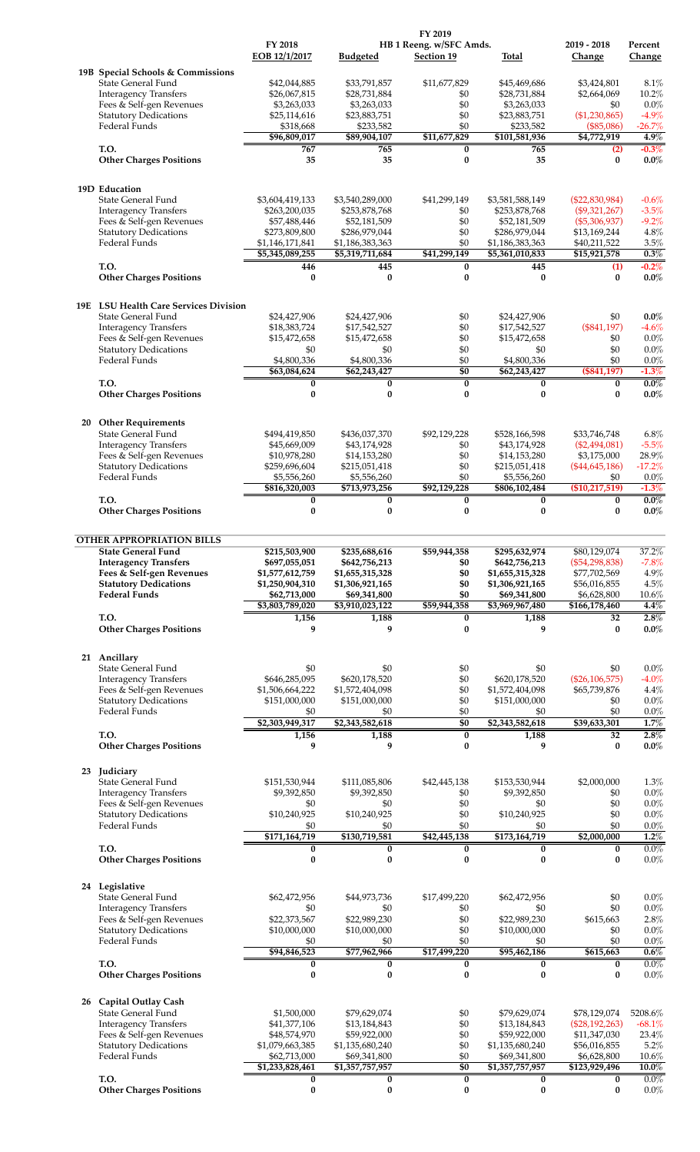|    |                                                          |                               |                               | FY 2019                 |                               |                                 |                    |
|----|----------------------------------------------------------|-------------------------------|-------------------------------|-------------------------|-------------------------------|---------------------------------|--------------------|
|    |                                                          | FY 2018                       |                               | HB 1 Reeng. w/SFC Amds. |                               | 2019 - 2018                     | Percent            |
|    |                                                          | EOB 12/1/2017                 | <b>Budgeted</b>               | Section 19              | Total                         | Change                          | Change             |
|    | 19B Special Schools & Commissions                        |                               |                               |                         |                               |                                 |                    |
|    | State General Fund                                       | \$42,044,885                  | \$33,791,857                  | \$11,677,829            | \$45,469,686                  | \$3,424,801                     | 8.1%               |
|    | <b>Interagency Transfers</b><br>Fees & Self-gen Revenues | \$26,067,815<br>\$3,263,033   | \$28,731,884<br>\$3,263,033   | \$0<br>\$0              | \$28,731,884<br>\$3,263,033   | \$2,664,069<br>\$0              | 10.2%<br>0.0%      |
|    | <b>Statutory Dedications</b>                             | \$25,114,616                  | \$23,883,751                  | \$0                     | \$23,883,751                  | (\$1,230,865)                   | $-4.9%$            |
|    | Federal Funds                                            | \$318,668                     | \$233,582                     | \$0                     | \$233,582                     | (\$85,086)                      | $-26.7%$           |
|    |                                                          | \$96,809,017                  | \$89,904,107                  | \$11,677,829            | \$101,581,936                 | \$4,772,919                     | 4.9%               |
|    | T.O.                                                     | 767                           | 765                           | 0                       | 765                           | (2)                             | $-0.3\%$           |
|    | <b>Other Charges Positions</b>                           | 35                            | 35                            | $\bf{0}$                | 35                            | $\bf{0}$                        | $0.0\%$            |
|    |                                                          |                               |                               |                         |                               |                                 |                    |
|    | 19D Education                                            |                               |                               |                         |                               |                                 |                    |
|    | State General Fund                                       | \$3,604,419,133               | \$3,540,289,000               | \$41,299,149            | \$3,581,588,149               | $(\$22,830,984)$                | $-0.6%$            |
|    | <b>Interagency Transfers</b>                             | \$263,200,035                 | \$253,878,768                 | \$0                     | \$253,878,768                 | $(\$9,321,267)$                 | $-3.5%$            |
|    | Fees & Self-gen Revenues<br><b>Statutory Dedications</b> | \$57,488,446<br>\$273,809,800 | \$52,181,509<br>\$286,979,044 | \$0<br>\$0              | \$52,181,509<br>\$286,979,044 | $(\$5,306,937)$<br>\$13,169,244 | $-9.2%$<br>4.8%    |
|    | Federal Funds                                            | \$1,146,171,841               | \$1,186,383,363               | \$0                     | \$1,186,383,363               | \$40,211,522                    | 3.5%               |
|    |                                                          | \$5,345,089,255               | \$5,319,711,684               | \$41,299,149            | \$5,361,010,833               | \$15,921,578                    | 0.3%               |
|    | T.O.                                                     | 446                           | 445                           | 0                       | 445                           | (1)                             | $-0.2\%$           |
|    | <b>Other Charges Positions</b>                           | 0                             | $\bf{0}$                      | 0                       | $\bf{0}$                      | $\bf{0}$                        | $0.0\%$            |
|    |                                                          |                               |                               |                         |                               |                                 |                    |
|    | 19E LSU Health Care Services Division                    |                               |                               |                         |                               |                                 |                    |
|    | <b>State General Fund</b>                                | \$24,427,906                  | \$24,427,906                  | \$0                     | \$24,427,906                  | \$0                             | $0.0\%$            |
|    | <b>Interagency Transfers</b>                             | \$18,383,724                  | \$17,542,527                  | \$0                     | \$17,542,527                  | (\$841,197)                     | $-4.6%$            |
|    | Fees & Self-gen Revenues<br><b>Statutory Dedications</b> | \$15,472,658<br>\$0           | \$15,472,658                  | \$0<br>\$0              | \$15,472,658<br>\$0           | \$0<br>\$0                      | $0.0\%$<br>0.0%    |
|    | Federal Funds                                            | \$4,800,336                   | \$0<br>\$4,800,336            | \$0                     | \$4,800,336                   | \$0                             | 0.0%               |
|    |                                                          | \$63,084,624                  | \$62,243,427                  | \$0                     | \$62,243,427                  | (\$841,197)                     | $-1.3%$            |
|    | T.O.                                                     | 0                             | 0                             | $\bf{0}$                | 0                             | 0                               | $0.0\%$            |
|    | <b>Other Charges Positions</b>                           | 0                             | 0                             | $\bf{0}$                | 0                             | $\bf{0}$                        | $0.0\%$            |
|    |                                                          |                               |                               |                         |                               |                                 |                    |
| 20 | <b>Other Requirements</b>                                |                               |                               |                         |                               |                                 |                    |
|    | State General Fund                                       | \$494,419,850                 | \$436,037,370                 | \$92,129,228            | \$528,166,598                 | \$33,746,748                    | 6.8%               |
|    | <b>Interagency Transfers</b>                             | \$45,669,009                  | \$43,174,928                  | \$0                     | \$43,174,928                  | (\$2,494,081)                   | $-5.5%$            |
|    | Fees & Self-gen Revenues                                 | \$10,978,280                  | \$14,153,280                  | \$0                     | \$14,153,280                  | \$3,175,000                     | 28.9%              |
|    | <b>Statutory Dedications</b>                             | \$259,696,604                 | \$215,051,418                 | \$0                     | \$215,051,418                 | $(\$44,645,186)$                | $-17.2%$           |
|    | Federal Funds                                            | \$5,556,260<br>\$816,320,003  | \$5,556,260<br>\$713,973,256  | \$0<br>\$92,129,228     | \$5,556,260<br>\$806,102,484  | \$0<br>(\$10,217,519)           | 0.0%<br>$-1.3%$    |
|    | T.O.                                                     | 0                             | 0                             | 0                       | 0                             | 0                               | $0.0\%$            |
|    | <b>Other Charges Positions</b>                           | 0                             | 0                             | $\bf{0}$                | 0                             | $\bf{0}$                        | $0.0\%$            |
|    |                                                          |                               |                               |                         |                               |                                 |                    |
|    | <b>OTHER APPROPRIATION BILLS</b>                         |                               |                               |                         |                               |                                 |                    |
|    | <b>State General Fund</b>                                | \$215,503,900                 | \$235,688,616                 | \$59,944,358            | \$295,632,974                 | \$80,129,074                    | 37.2%              |
|    | <b>Interagency Transfers</b>                             | \$697,055,051                 | \$642,756,213                 | \$0                     | \$642,756,213                 | $(\$54,298,838)$                | $-7.8%$            |
|    | Fees & Self-gen Revenues                                 | \$1,577,612,759               | \$1,655,315,328               | \$0                     | \$1,655,315,328               | \$77,702,569                    | 4.9%               |
|    | <b>Statutory Dedications</b>                             | \$1,250,904,310               | \$1,306,921,165               | \$0                     | \$1,306,921,165               | \$56,016,855                    | 4.5%               |
|    | <b>Federal Funds</b>                                     | \$62,713,000                  | \$69,341,800                  | \$0                     | \$69,341,800                  | \$6,628,800                     | 10.6%              |
|    |                                                          | \$3,803,789,020               | \$3,910,023,122               | \$59,944,358            | \$3,969,967,480               | \$166,178,460                   | 4.4%               |
|    | T.O.<br><b>Other Charges Positions</b>                   | 1,156<br>9                    | 1,188<br>9                    | 0<br>0                  | 1,188<br>9                    | 32<br>$\bf{0}$                  | 2.8%<br>$0.0\%$    |
|    |                                                          |                               |                               |                         |                               |                                 |                    |
|    |                                                          |                               |                               |                         |                               |                                 |                    |
|    | 21 Ancillary                                             |                               |                               |                         |                               |                                 |                    |
|    | State General Fund<br><b>Interagency Transfers</b>       | \$0<br>\$646,285,095          | \$0<br>\$620,178,520          | \$0<br>\$0              | \$0<br>\$620,178,520          | \$0<br>$(\$26, 106, 575)$       | 0.0%<br>$-4.0%$    |
|    | Fees & Self-gen Revenues                                 | \$1,506,664,222               | \$1,572,404,098               | \$0                     | \$1,572,404,098               | \$65,739,876                    | 4.4%               |
|    | <b>Statutory Dedications</b>                             | \$151,000,000                 | \$151,000,000                 | \$0                     | \$151,000,000                 | \$0                             | 0.0%               |
|    | Federal Funds                                            | \$0                           | \$0                           | \$0                     | \$0                           | \$0                             | 0.0%               |
|    |                                                          | \$2,303,949,317               | \$2,343,582,618               | \$0                     | \$2,343,582,618               | \$39,633,301                    | 1.7%               |
|    | T.O.                                                     | 1,156                         | 1,188                         | $\overline{0}$          | 1,188                         | 32                              | 2.8%               |
|    | <b>Other Charges Positions</b>                           | 9                             | 9                             | $\bf{0}$                | 9                             | 0                               | $0.0\%$            |
|    |                                                          |                               |                               |                         |                               |                                 |                    |
|    | 23 Judiciary<br>State General Fund                       | \$151,530,944                 | \$111,085,806                 | \$42,445,138            | \$153,530,944                 | \$2,000,000                     | 1.3%               |
|    | <b>Interagency Transfers</b>                             | \$9,392,850                   | \$9,392,850                   | \$0                     | \$9,392,850                   | \$0                             | 0.0%               |
|    | Fees & Self-gen Revenues                                 | \$0                           | \$0                           | \$0                     | \$0                           | \$0                             | 0.0%               |
|    | <b>Statutory Dedications</b>                             | \$10,240,925                  | \$10,240,925                  | \$0                     | \$10,240,925                  | \$0                             | 0.0%               |
|    | Federal Funds                                            | \$0                           | \$0                           | \$0                     | \$0                           | \$0                             | 0.0%               |
|    |                                                          | \$171,164,719                 | \$130,719,581                 | \$42,445,138            | \$173,164,719                 | \$2,000,000                     | 1.2%               |
|    | T.O.<br><b>Other Charges Positions</b>                   | 0<br>0                        | 0<br>$\bf{0}$                 | 0<br>$\bf{0}$           | 0<br>$\bf{0}$                 | $\bf{0}$<br>$\bf{0}$            | $0.0\%$<br>$0.0\%$ |
|    |                                                          |                               |                               |                         |                               |                                 |                    |
|    |                                                          |                               |                               |                         |                               |                                 |                    |
|    | 24 Legislative<br>State General Fund                     | \$62,472,956                  | \$44,973,736                  | \$17,499,220            | \$62,472,956                  | \$0                             | 0.0%               |
|    | <b>Interagency Transfers</b>                             | \$0                           | \$0                           | \$0                     | \$0                           | \$0                             | 0.0%               |
|    | Fees & Self-gen Revenues                                 | \$22,373,567                  | \$22,989,230                  | \$0                     | \$22,989,230                  | \$615,663                       | 2.8%               |
|    | <b>Statutory Dedications</b>                             | \$10,000,000                  | \$10,000,000                  | \$0                     | \$10,000,000                  | \$0                             | 0.0%               |
|    | Federal Funds                                            | \$0                           | \$0                           | \$0                     | \$0                           | \$0                             | 0.0%               |
|    |                                                          | \$94,846,523                  | \$77,962,966                  | \$17,499,220            | \$95,462,186                  | \$615,663                       | 0.6%               |
|    | T.O.<br><b>Other Charges Positions</b>                   | $\bf{0}$<br>0                 | $\bf{0}$<br>$\bf{0}$          | $\bf{0}$<br>$\bf{0}$    | 0<br>$\bf{0}$                 | $\bf{0}$<br>$\bf{0}$            | 0.0%<br>$0.0\%$    |
|    |                                                          |                               |                               |                         |                               |                                 |                    |
|    |                                                          |                               |                               |                         |                               |                                 |                    |
|    | 26 Capital Outlay Cash<br>State General Fund             | \$1,500,000                   | \$79,629,074                  | \$0                     | \$79,629,074                  | \$78,129,074                    | 5208.6%            |
|    | <b>Interagency Transfers</b>                             | \$41,377,106                  | \$13,184,843                  | \$0                     | \$13,184,843                  | (\$28,192,263)                  | $-68.1%$           |
|    | Fees & Self-gen Revenues                                 | \$48,574,970                  | \$59,922,000                  | \$0                     | \$59,922,000                  | \$11,347,030                    | 23.4%              |
|    | <b>Statutory Dedications</b>                             | \$1,079,663,385               | \$1,135,680,240               | \$0                     | \$1,135,680,240               | \$56,016,855                    | 5.2%               |
|    | Federal Funds                                            | \$62,713,000                  | \$69,341,800                  | \$0                     | \$69,341,800                  | \$6,628,800                     | 10.6%              |
|    |                                                          | \$1,233,828,461               | \$1,357,757,957               | $\overline{50}$         | \$1,357,757,957               | \$123,929,496                   | $10.0\%$           |
|    | T.O.<br><b>Other Charges Positions</b>                   | 0<br>0                        | 0<br>0                        | 0<br>0                  | 0<br>0                        | 0<br>$\bf{0}$                   | $0.0\%$<br>0.0%    |
|    |                                                          |                               |                               |                         |                               |                                 |                    |